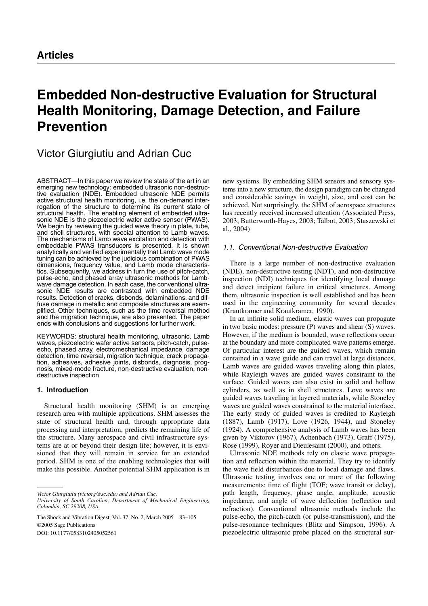# **Embedded Non-destructive Evaluation for Structural Health Monitoring, Damage Detection, and Failure Prevention**

# Victor Giurgiutiu and Adrian Cuc

ABSTRACT—In this paper we review the state of the art in an emerging new technology: embedded ultrasonic non-destructive evaluation (NDE). Embedded ultrasonic NDE permits active structural health monitoring, i.e. the on-demand interrogation of the structure to determine its current state of structural health. The enabling element of embedded ultrasonic NDE is the piezoelectric wafer active sensor (PWAS). We begin by reviewing the guided wave theory in plate, tube, and shell structures, with special attention to Lamb waves. The mechanisms of Lamb wave excitation and detection with embeddable PWAS transducers is presented. It is shown analytically and verified experimentally that Lamb wave mode tuning can be achieved by the judicious combination of PWAS dimensions, frequency value, and Lamb mode characteristics. Subsequently, we address in turn the use of pitch-catch, pulse-echo, and phased array ultrasonic methods for Lambwave damage detection. In each case, the conventional ultrasonic NDE results are contrasted with embedded NDE results. Detection of cracks, disbonds, delaminations, and diffuse damage in metallic and composite structures are exemplified. Other techniques, such as the time reversal method and the migration technique, are also presented. The paper ends with conclusions and suggestions for further work.

KEYWORDS: structural health monitoring, ultrasonic, Lamb waves, piezoelectric wafer active sensors, pitch-catch, pulseecho, phased array, electromechanical impedance, damage detection, time reversal, migration technique, crack propagation, adhesives, adhesive joints, disbonds, diagnosis, prognosis, mixed-mode fracture, non-destructive evaluation, nondestructive inspection

# **1. Introduction**

Structural health monitoring (SHM) is an emerging research area with multiple applications. SHM assesses the state of structural health and, through appropriate data processing and interpretation, predicts the remaining life of the structure. Many aerospace and civil infrastructure systems are at or beyond their design life; however, it is envisioned that they will remain in service for an extended period. SHM is one of the enabling technologies that will make this possible. Another potential SHM application is in

The Shock and Vibration Digest, Vol. 37, No. 2, March 2005 83–105 ©2005 Sage Publications DOI: 10.1177/0583102405052561

new systems. By embedding SHM sensors and sensory systems into a new structure, the design paradigm can be changed and considerable savings in weight, size, and cost can be achieved. Not surprisingly, the SHM of aerospace structures has recently received increased attention (Associated Press, 2003; Butterworth-Hayes, 2003; Talbot, 2003; Staszewski et al., 2004)

## 1.1. Conventional Non-destructive Evaluation

There is a large number of non-destructive evaluation (NDE), non-destructive testing (NDT), and non-destructive inspection (NDI) techniques for identifying local damage and detect incipient failure in critical structures. Among them, ultrasonic inspection is well established and has been used in the engineering community for several decades (Krautkramer and Krautkramer, 1990).

In an infinite solid medium, elastic waves can propagate in two basic modes: pressure (P) waves and shear (S) waves. However, if the medium is bounded, wave reflections occur at the boundary and more complicated wave patterns emerge. Of particular interest are the guided waves, which remain contained in a wave guide and can travel at large distances. Lamb waves are guided waves traveling along thin plates, while Rayleigh waves are guided waves constraint to the surface. Guided waves can also exist in solid and hollow cylinders, as well as in shell structures. Love waves are guided waves traveling in layered materials, while Stoneley waves are guided waves constrained to the material interface. The early study of guided waves is credited to Rayleigh (1887), Lamb (1917), Love (1926, 1944), and Stoneley (1924). A comprehensive analysis of Lamb waves has been given by Viktorov (1967), Achenbach (1973), Graff (1975), Rose (1999), Royer and Dieulesaint (2000), and others.

Ultrasonic NDE methods rely on elastic wave propagation and reflection within the material. They try to identify the wave field disturbances due to local damage and flaws. Ultrasonic testing involves one or more of the following measurements: time of flight (TOF; wave transit or delay), path length, frequency, phase angle, amplitude, acoustic impedance, and angle of wave deflection (reflection and refraction). Conventional ultrasonic methods include the pulse-echo, the pitch-catch (or pulse-transmission), and the pulse-resonance techniques (Blitz and Simpson, 1996). A piezoelectric ultrasonic probe placed on the structural sur-

*Victor Giurgiutiu (victorg@sc.edu) and Adrian Cuc,* 

*University of South Carolina, Department of Mechanical Engineering, Columbia, SC 29208, USA.*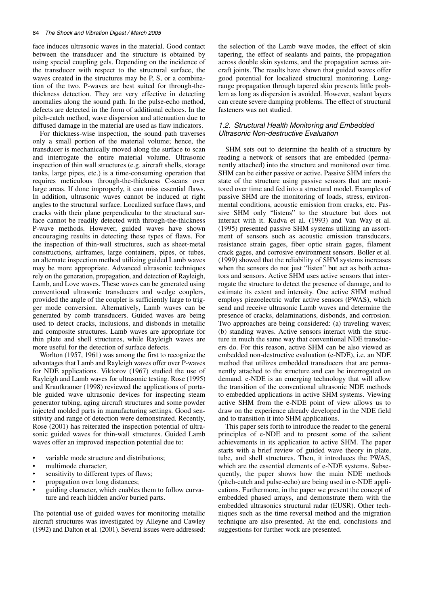face induces ultrasonic waves in the material. Good contact between the transducer and the structure is obtained by using special coupling gels. Depending on the incidence of the transducer with respect to the structural surface, the waves created in the structures may be P, S, or a combination of the two. P-waves are best suited for through-thethickness detection. They are very effective in detecting anomalies along the sound path. In the pulse-echo method, defects are detected in the form of additional echoes. In the pitch-catch method, wave dispersion and attenuation due to diffused damage in the material are used as flaw indicators.

For thickness-wise inspection, the sound path traverses only a small portion of the material volume; hence, the transducer is mechanically moved along the surface to scan and interrogate the entire material volume. Ultrasonic inspection of thin wall structures (e.g. aircraft shells, storage tanks, large pipes, etc.) is a time-consuming operation that requires meticulous through-the-thickness C-scans over large areas. If done improperly, it can miss essential flaws. In addition, ultrasonic waves cannot be induced at right angles to the structural surface. Localized surface flaws, and cracks with their plane perpendicular to the structural surface cannot be readily detected with through-the-thickness P-wave methods. However, guided waves have shown encouraging results in detecting these types of flaws. For the inspection of thin-wall structures, such as sheet-metal constructions, airframes, large containers, pipes, or tubes, an alternate inspection method utilizing guided Lamb waves may be more appropriate. Advanced ultrasonic techniques rely on the generation, propagation, and detection of Rayleigh, Lamb, and Love waves. These waves can be generated using conventional ultrasonic transducers and wedge couplers, provided the angle of the coupler is sufficiently large to trigger mode conversion. Alternatively, Lamb waves can be generated by comb transducers. Guided waves are being used to detect cracks, inclusions, and disbonds in metallic and composite structures. Lamb waves are appropriate for thin plate and shell structures, while Rayleigh waves are more useful for the detection of surface defects.

Worlton (1957, 1961) was among the first to recognize the advantages that Lamb and Rayleigh waves offer over P-waves for NDE applications. Viktorov (1967) studied the use of Rayleigh and Lamb waves for ultrasonic testing. Rose (1995) and Krautkramer (1998) reviewed the applications of portable guided wave ultrasonic devices for inspecting steam generator tubing, aging aircraft structures and some powder injected molded parts in manufacturing settings. Good sensitivity and range of detection were demonstrated. Recently, Rose (2001) has reiterated the inspection potential of ultrasonic guided waves for thin-wall structures. Guided Lamb waves offer an improved inspection potential due to:

- variable mode structure and distributions;
- multimode character;
- sensitivity to different types of flaws;
- propagation over long distances;
- guiding character, which enables them to follow curvature and reach hidden and/or buried parts.

The potential use of guided waves for monitoring metallic aircraft structures was investigated by Alleyne and Cawley (1992) and Dalton et al. (2001). Several issues were addressed:

the selection of the Lamb wave modes, the effect of skin tapering, the effect of sealants and paints, the propagation across double skin systems, and the propagation across aircraft joints. The results have shown that guided waves offer good potential for localized structural monitoring. Longrange propagation through tapered skin presents little problem as long as dispersion is avoided. However, sealant layers can create severe damping problems. The effect of structural fasteners was not studied.

#### 1.2. Structural Health Monitoring and Embedded Ultrasonic Non-destructive Evaluation

SHM sets out to determine the health of a structure by reading a network of sensors that are embedded (permanently attached) into the structure and monitored over time. SHM can be either passive or active. Passive SHM infers the state of the structure using passive sensors that are monitored over time and fed into a structural model. Examples of passive SHM are the monitoring of loads, stress, environmental conditions, acoustic emission from cracks, etc. Passive SHM only "listens" to the structure but does not interact with it. Kudva et al. (1993) and Van Way et al. (1995) presented passive SHM systems utilizing an assortment of sensors such as acoustic emission transducers, resistance strain gages, fiber optic strain gages, filament crack gages, and corrosive environment sensors. Boller et al. (1999) showed that the reliability of SHM systems increases when the sensors do not just "listen" but act as both actuators and sensors. Active SHM uses active sensors that interrogate the structure to detect the presence of damage, and to estimate its extent and intensity. One active SHM method employs piezoelectric wafer active sensors (PWAS), which send and receive ultrasonic Lamb waves and determine the presence of cracks, delaminations, disbonds, and corrosion. Two approaches are being considered: (a) traveling waves; (b) standing waves. Active sensors interact with the structure in much the same way that conventional NDE transducers do. For this reason, active SHM can be also viewed as embedded non-destructive evaluation (e-NDE), i.e. an NDE method that utilizes embedded transducers that are permanently attached to the structure and can be interrogated on demand. e-NDE is an emerging technology that will allow the transition of the conventional ultrasonic NDE methods to embedded applications in active SHM systems. Viewing active SHM from the e-NDE point of view allows us to draw on the experience already developed in the NDE field and to transition it into SHM applications.

This paper sets forth to introduce the reader to the general principles of e-NDE and to present some of the salient achievements in its application to active SHM. The paper starts with a brief review of guided wave theory in plate, tube, and shell structures. Then, it introduces the PWAS, which are the essential elements of e-NDE systems. Subsequently, the paper shows how the main NDE methods (pitch-catch and pulse-echo) are being used in e-NDE applications. Furthermore, in the paper we present the concept of embedded phased arrays, and demonstrate them with the embedded ultrasonics structural radar (EUSR). Other techniques such as the time reversal method and the migration technique are also presented. At the end, conclusions and suggestions for further work are presented.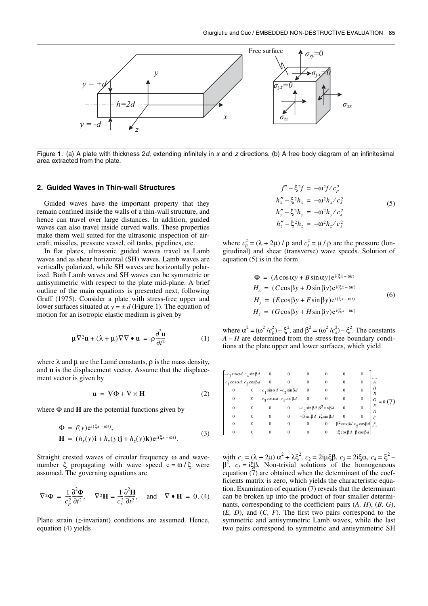

Figure 1. (a) A plate with thickness 2d, extending infinitely in x and z directions. (b) A free body diagram of an infinitesimal area extracted from the plate.

#### **2. Guided Waves in Thin-wall Structures**

Guided waves have the important property that they remain confined inside the walls of a thin-wall structure, and hence can travel over large distances. In addition, guided waves can also travel inside curved walls. These properties make them well suited for the ultrasonic inspection of aircraft, missiles, pressure vessel, oil tanks, pipelines, etc.

In flat plates, ultrasonic guided waves travel as Lamb waves and as shear horizontal (SH) waves. Lamb waves are vertically polarized, while SH waves are horizontally polarized. Both Lamb waves and SH waves can be symmetric or antisymmetric with respect to the plate mid-plane. A brief outline of the main equations is presented next, following Graff (1975). Consider a plate with stress-free upper and lower surfaces situated at  $y = \pm d$  (Figure 1). The equation of motion for an isotropic elastic medium is given by

$$
\mu \nabla^2 \mathbf{u} + (\lambda + \mu) \nabla \nabla \bullet \mathbf{u} = \rho \frac{\partial^2 \mathbf{u}}{\partial t^2}
$$
 (1)

where  $\lambda$  and  $\mu$  are the Lamé constants,  $\rho$  is the mass density, and **u** is the displacement vector. Assume that the displacement vector is given by

$$
\mathbf{u} = \nabla \Phi + \nabla \times \mathbf{H} \tag{2}
$$

where  $\Phi$  and **H** are the potential functions given by

$$
\Phi = f(y) e^{i(\xi x - \omega t)}, \n\mathbf{H} = (h_x(y) \mathbf{i} + h_y(y) \mathbf{j} + h_z(y) \mathbf{k}) e^{i(\xi x - \omega t)}.
$$
\n(3)

Straight crested waves of circular frequency ω and wavenumber ξ propagating with wave speed  $c = ω / ξ$  were assumed. The governing equations are

$$
\nabla^2 \Phi = \frac{1}{c_\rho^2} \frac{\partial^2 \Phi}{\partial t^2}, \quad \nabla^2 \mathbf{H} = \frac{1}{c_s^2} \frac{\partial^2 \mathbf{H}}{\partial t^2}, \quad \text{and} \quad \nabla \bullet \mathbf{H} = 0. (4)
$$

Plane strain (*z*-invariant) conditions are assumed. Hence, equation (4) yields

$$
f'' - \xi^2 f = -\omega^2 f / c_p^2
$$
  
\n
$$
h''_x - \xi^2 h_x = -\omega^2 h_x / c_s^2
$$
  
\n
$$
h''_y - \xi^2 h_y = -\omega^2 h_y / c_s^2
$$
  
\n
$$
h''_z - \xi^2 h_z = -\omega^2 h_z / c_s^2
$$
\n(5)

where  $c_p^2 = (\lambda + 2\mu) / \rho$  and  $c_s^2 = \mu / \rho$  are the pressure (longitudinal) and shear (transverse) wave speeds. Solution of equation  $(5)$  is in the form

$$
\Phi = (A\cos\alpha y + B\sin\alpha y)e^{i(\xi x - \omega t)}
$$
\n
$$
H_x = (C\cos\beta y + D\sin\beta y)e^{i(\xi x - \omega t)}
$$
\n
$$
H_y = (E\cos\beta y + F\sin\beta y)e^{i(\xi x - \omega t)}
$$
\n
$$
H_z = (G\cos\beta y + H\sin\beta y)e^{i(\xi x - \omega t)}
$$
\n(6)

where  $\alpha^2 = (\omega^2/c_p^2) - \xi^2$ , and  $\beta^2 = (\omega^2/c_s^2) - \xi^2$ . The constants *A* – *H* are determined from the stress-free boundary conditions at the plate upper and lower surfaces, which yield

| $-c_3 \sin \alpha d$ $c_4 \sin \beta d$<br>$\Omega$<br>0<br>$\Omega$<br>$c_1 \cos \alpha d$ $c_2 \cos \beta d$<br>$\overline{0}$<br>$\theta$<br>$\mathbf{0}$<br>$\mathbf{0}$<br>$\Omega$<br>$c_1$ sin $\alpha d$ – $c_2$ sin $\beta d$<br>$\overline{0}$<br>$\mathbf{0}$<br>$\mathbf{0}$<br>$\mathbf{0}$<br>$c_3 \cos \alpha d$ $c_4 \cos \beta d$<br>$\mathbf{0}$<br>$\mathbf{0}$<br>$\bf{0}$<br>$\Omega$<br>$\mathbf{0}$<br>$\mathbf{0}$<br>$-c_5 \sin \beta d \beta^2 \sin \beta d$<br>$\mathbf{0}$<br>$\mathbf{0}$<br>$\mathbf{0}$<br>$\mathbf{0}$<br>$\mathbf{0}$<br>$-\beta \sin \beta d$ iξ sin $\beta d$<br>$\theta$<br>$\mathbf{0}$<br>$\mathbf{0}$<br>$\mathbf{0}$<br>$\Omega$<br>$\beta^2 \cos \beta d \ c_5 \cos \beta d  F $<br>$\mathbf{0}$<br>$\mathbf{0}$<br>$\Omega$<br>$\Omega$<br>$\mathbf{0}$<br>$\Omega$<br>$i\xi \cos \beta d$ $\beta \cos \beta d$<br>$\mathbf{0}$<br>$\Omega$<br>$\mathbf{0}$<br>$\Omega$<br>$\Omega$<br>$\mathbf{0}$ |  |              |  |  |  |  |
|---------------------------------------------------------------------------------------------------------------------------------------------------------------------------------------------------------------------------------------------------------------------------------------------------------------------------------------------------------------------------------------------------------------------------------------------------------------------------------------------------------------------------------------------------------------------------------------------------------------------------------------------------------------------------------------------------------------------------------------------------------------------------------------------------------------------------------------------------------------------------------------------------------------------------------------------------------------|--|--------------|--|--|--|--|
|                                                                                                                                                                                                                                                                                                                                                                                                                                                                                                                                                                                                                                                                                                                                                                                                                                                                                                                                                               |  | $\mathbf{0}$ |  |  |  |  |
|                                                                                                                                                                                                                                                                                                                                                                                                                                                                                                                                                                                                                                                                                                                                                                                                                                                                                                                                                               |  |              |  |  |  |  |
|                                                                                                                                                                                                                                                                                                                                                                                                                                                                                                                                                                                                                                                                                                                                                                                                                                                                                                                                                               |  |              |  |  |  |  |
|                                                                                                                                                                                                                                                                                                                                                                                                                                                                                                                                                                                                                                                                                                                                                                                                                                                                                                                                                               |  |              |  |  |  |  |
|                                                                                                                                                                                                                                                                                                                                                                                                                                                                                                                                                                                                                                                                                                                                                                                                                                                                                                                                                               |  |              |  |  |  |  |
|                                                                                                                                                                                                                                                                                                                                                                                                                                                                                                                                                                                                                                                                                                                                                                                                                                                                                                                                                               |  |              |  |  |  |  |
|                                                                                                                                                                                                                                                                                                                                                                                                                                                                                                                                                                                                                                                                                                                                                                                                                                                                                                                                                               |  |              |  |  |  |  |
|                                                                                                                                                                                                                                                                                                                                                                                                                                                                                                                                                                                                                                                                                                                                                                                                                                                                                                                                                               |  |              |  |  |  |  |

with  $c_1 = (\lambda + 2\mu) \alpha^2 + \lambda \xi^2$ ,  $c_2 = 2i\mu \xi \beta$ ,  $c_3 = 2i \xi \alpha$ ,  $c_4 = \xi^2$  $β<sup>2</sup>$ ,  $c<sub>5</sub> = iξβ$ . Non-trivial solutions of the homogeneous equation (7) are obtained when the determinant of the coefficients matrix is zero, which yields the characteristic equation. Examination of equation (7) reveals that the determinant can be broken up into the product of four smaller determinants, corresponding to the coefficient pairs (*A, H*), (*B, G*), (*E, D*), and (*C, F*). The first two pairs correspond to the symmetric and antisymmetric Lamb waves, while the last two pairs correspond to symmetric and antisymmetric SH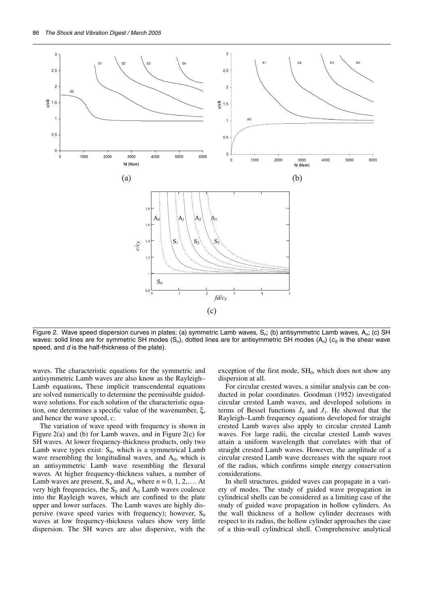

Figure 2. Wave speed dispersion curves in plates: (a) symmetric Lamb waves,  $S_n$ ; (b) antisymmetric Lamb waves,  $A_n$ ; (c) SH waves: solid lines are for symmetric SH modes  $(S_n)$ , dotted lines are for antisymmetric SH modes  $(A_n)$  ( $c_S$  is the shear wave speed, and  $d$  is the half-thickness of the plate).

waves. The characteristic equations for the symmetric and antisymmetric Lamb waves are also know as the Rayleigh– Lamb equations**.** These implicit transcendental equations are solved numerically to determine the permissible guidedwave solutions. For each solution of the characteristic equation, one determines a specific value of the wavenumber, ξ, and hence the wave speed, *c*.

The variation of wave speed with frequency is shown in Figure 2(a) and (b) for Lamb waves, and in Figure 2(c) for SH waves. At lower frequency-thickness products, only two Lamb wave types exist:  $S_0$ , which is a symmetrical Lamb wave resembling the longitudinal waves, and  $A_0$ , which is an antisymmetric Lamb wave resembling the flexural waves. At higher frequency-thickness values, a number of Lamb waves are present,  $S_n$  and  $A_n$ , where  $n = 0, 1, 2, \ldots$ . At very high frequencies, the  $S_0$  and  $A_0$  Lamb waves coalesce into the Rayleigh waves, which are confined to the plate upper and lower surfaces. The Lamb waves are highly dispersive (wave speed varies with frequency); however,  $S_0$ waves at low frequency-thickness values show very little dispersion. The SH waves are also dispersive, with the

exception of the first mode,  $SH<sub>0</sub>$ , which does not show any dispersion at all.

For circular crested waves, a similar analysis can be conducted in polar coordinates. Goodman (1952) investigated circular crested Lamb waves, and developed solutions in terms of Bessel functions  $J_0$  and  $J_1$ . He showed that the Rayleigh–Lamb frequency equations developed for straight crested Lamb waves also apply to circular crested Lamb waves. For large radii, the circular crested Lamb waves attain a uniform wavelength that correlates with that of straight crested Lamb waves. However, the amplitude of a circular crested Lamb wave decreases with the square root of the radius, which confirms simple energy conservation considerations.

In shell structures, guided waves can propagate in a variety of modes. The study of guided wave propagation in cylindrical shells can be considered as a limiting case of the study of guided wave propagation in hollow cylinders. As the wall thickness of a hollow cylinder decreases with respect to its radius, the hollow cylinder approaches the case of a thin-wall cylindrical shell. Comprehensive analytical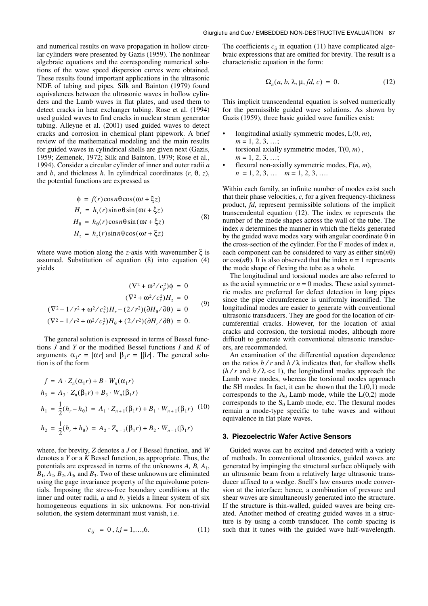and numerical results on wave propagation in hollow circular cylinders were presented by Gazis (1959). The nonlinear algebraic equations and the corresponding numerical solutions of the wave speed dispersion curves were obtained. These results found important applications in the ultrasonic NDE of tubing and pipes. Silk and Bainton (1979) found equivalences between the ultrasonic waves in hollow cylinders and the Lamb waves in flat plates, and used them to detect cracks in heat exchanger tubing. Rose et al. (1994) used guided waves to find cracks in nuclear steam generator tubing. Alleyne et al. (2001) used guided waves to detect cracks and corrosion in chemical plant pipework. A brief review of the mathematical modeling and the main results for guided waves in cylindrical shells are given next (Gazis, 1959; Zemenek, 1972; Silk and Bainton, 1979; Rose et al., 1994). Consider a circular cylinder of inner and outer radii *a* and *b*, and thickness *h*. In cylindrical coordinates (*r*, θ, *z*), the potential functions are expressed as

$$
\Phi = f(r)\cos n\theta\cos(\omega t + \xi z)
$$
  
\n
$$
H_r = h_r(r)\sin n\theta\sin(\omega t + \xi z)
$$
  
\n
$$
H_{\theta} = h_{\theta}(r)\cos n\theta\sin(\omega t + \xi z)
$$
 (8)  
\n
$$
H_z = h_z(r)\sin n\theta\cos(\omega t + \xi z)
$$

where wave motion along the *z-*axis with wavenumber ξ is assumed. Substitution of equation (8) into equation (4) yields

$$
(\nabla^2 + \omega^2/c_\rho^2)\phi = 0
$$
  
\n
$$
(\nabla^2 + \omega^2/c_s^2)H_z = 0
$$
  
\n
$$
(\nabla^2 - 1/r^2 + \omega^2/c_s^2)H_r - (2/r^2)(\partial H_\theta/\partial \theta) = 0
$$
  
\n
$$
(\nabla^2 - 1/r^2 + \omega^2/c_s^2)H_\theta + (2/r^2)(\partial H_r/\partial \theta) = 0.
$$
\n(9)

The general solution is expressed in terms of Bessel functions *J* and *Y* or the modified Bessel functions *I* and *K* of arguments  $\alpha_1 r = |\alpha r|$  and  $\beta_1 r = |\beta r|$ . The general solution is of the form

$$
f = A \cdot Z_n(\alpha_1 r) + B \cdot W_n(\alpha_1 r)
$$
  
\n
$$
h_3 = A_3 \cdot Z_n(\beta_1 r) + B_3 \cdot W_n(\beta_1 r)
$$
  
\n
$$
h_1 = \frac{1}{2}(h_r - h_\theta) = A_1 \cdot Z_{n+1}(\beta_1 r) + B_1 \cdot W_{n+1}(\beta_1 r) \quad (10)
$$
  
\n
$$
h_2 = \frac{1}{2}(h_r + h_\theta) = A_2 \cdot Z_{n-1}(\beta_1 r) + B_2 \cdot W_{n-1}(\beta_1 r)
$$

where, for brevity, *Z* denotes a *J* or *I* Bessel function, and *W* denotes a *Y* or a *K* Bessel function, as appropriate. Thus, the potentials are expressed in terms of the unknowns *A, B, A*1,  $B_1$ ,  $A_2$ ,  $B_2$ ,  $A_3$ , and  $B_3$ . Two of these unknowns are eliminated using the gage invariance property of the equivolume potentials. Imposing the stress-free boundary conditions at the inner and outer radii, *a* and *b*, yields a linear system of six homogeneous equations in six unknowns. For non-trivial solution, the system determinant must vanish, i.e.

$$
|c_{ij}| = 0, i, j = 1,...,6.
$$
 (11)

The coefficients  $c_{ij}$  in equation (11) have complicated algebraic expressions that are omitted for brevity. The result is a characteristic equation in the form:

$$
\Omega_n(a, b, \lambda, \mu, fd, c) = 0. \tag{12}
$$

This implicit transcendental equation is solved numerically for the permissible guided wave solutions. As shown by Gazis (1959), three basic guided wave families exist:

- longitudinal axially symmetric modes, L(0, *m*),  $m = 1, 2, 3, ...;$
- torsional axially symmetric modes, T(0, *m*) , *m* = 1, 2, 3, …;
- flexural non-axially symmetric modes,  $F(n, m)$ , *n* = 1, 2, 3, … *m* = 1, 2, 3, ….

Within each family, an infinite number of modes exist such that their phase velocities, *c*, for a given frequency-thickness product, *fd*, represent permissible solutions of the implicit transcendental equation (12). The index *m* represents the number of the mode shapes across the wall of the tube. The index *n* determines the manner in which the fields generated by the guided wave modes vary with angular coordinate  $\theta$  in the cross-section of the cylinder. For the F modes of index *n*, each component can be considered to vary as either  $sin(n\theta)$ or  $cos(n\theta)$ . It is also observed that the index  $n = 1$  represents the mode shape of flexing the tube as a whole.

The longitudinal and torsional modes are also referred to as the axial symmetric or  $n = 0$  modes. These axial symmetric modes are preferred for defect detection in long pipes since the pipe circumference is uniformly insonified. The longitudinal modes are easier to generate with conventional ultrasonic transducers. They are good for the location of circumferential cracks. However, for the location of axial cracks and corrosion, the torsional modes, although more difficult to generate with conventional ultrasonic transducers, are recommended.

An examination of the differential equation dependence on the ratios  $h/r$  and  $h/\lambda$  indicates that, for shallow shells  $(h/r \text{ and } h/\lambda \ll 1)$ , the longitudinal modes approach the Lamb wave modes, whereas the torsional modes approach the SH modes. In fact, it can be shown that the  $L(0,1)$  mode corresponds to the  $A_0$  Lamb mode, while the  $L(0,2)$  mode corresponds to the  $S_0$  Lamb mode, etc. The flexural modes remain a mode-type specific to tube waves and without equivalence in flat plate waves.

#### **3. Piezoelectric Wafer Active Sensors**

Guided waves can be excited and detected with a variety of methods. In conventional ultrasonics, guided waves are generated by impinging the structural surface obliquely with an ultrasonic beam from a relatively large ultrasonic transducer affixed to a wedge. Snell's law ensures mode conversion at the interface; hence, a combination of pressure and shear waves are simultaneously generated into the structure. If the structure is thin-walled, guided waves are being created. Another method of creating guided waves in a structure is by using a comb transducer. The comb spacing is such that it tunes with the guided wave half-wavelength.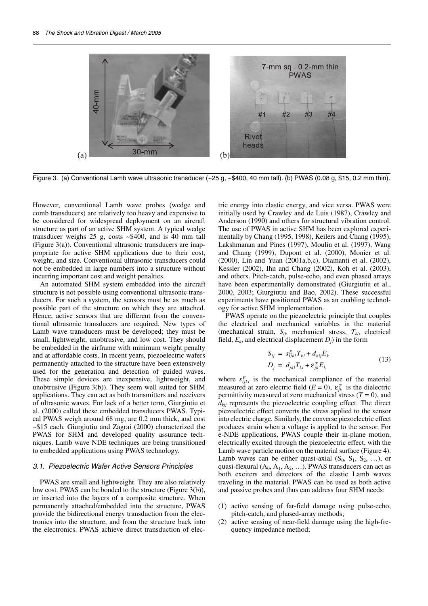

Figure 3. (a) Conventional Lamb wave ultrasonic transducer  $(-25 g, -\$400, 40 \text{ mm tall})$ . (b) PWAS (0.08 g, \$15, 0.2 mm thin).

However, conventional Lamb wave probes (wedge and comb transducers) are relatively too heavy and expensive to be considered for widespread deployment on an aircraft structure as part of an active SHM system. A typical wedge transducer weighs 25 g, costs ~\$400, and is 40 mm tall (Figure 3(a)). Conventional ultrasonic transducers are inappropriate for active SHM applications due to their cost, weight, and size. Conventional ultrasonic transducers could not be embedded in large numbers into a structure without incurring important cost and weight penalties.

An automated SHM system embedded into the aircraft structure is not possible using conventional ultrasonic transducers. For such a system, the sensors must be as much as possible part of the structure on which they are attached. Hence, active sensors that are different from the conventional ultrasonic transducers are required. New types of Lamb wave transducers must be developed; they must be small, lightweight, unobtrusive, and low cost. They should be embedded in the airframe with minimum weight penalty and at affordable costs. In recent years, piezoelectric wafers permanently attached to the structure have been extensively used for the generation and detection of guided waves. These simple devices are inexpensive, lightweight, and unobtrusive (Figure 3(b)). They seem well suited for SHM applications. They can act as both transmitters and receivers of ultrasonic waves. For lack of a better term, Giurgiutiu et al. (2000) called these embedded transducers PWAS. Typical PWAS weigh around 68 mg, are 0.2 mm thick, and cost ~\$15 each. Giurgiutiu and Zagrai (2000) characterized the PWAS for SHM and developed quality assurance techniques. Lamb wave NDE techniques are being transitioned to embedded applications using PWAS technology.

#### 3.1. Piezoelectric Wafer Active Sensors Principles

PWAS are small and lightweight. They are also relatively low cost. PWAS can be bonded to the structure (Figure 3(b)), or inserted into the layers of a composite structure. When permanently attached/embedded into the structure, PWAS provide the bidirectional energy transduction from the electronics into the structure, and from the structure back into the electronics. PWAS achieve direct transduction of electric energy into elastic energy, and vice versa. PWAS were initially used by Crawley and de Luis (1987), Crawley and Anderson (1990) and others for structural vibration control. The use of PWAS in active SHM has been explored experimentally by Chang (1995, 1998), Keilers and Chang (1995), Lakshmanan and Pines (1997), Moulin et al. (1997), Wang and Chang (1999), Dupont et al. (2000), Monier et al. (2000), Lin and Yuan (2001a,b,c), Diamanti et al. (2002), Kessler (2002), Ihn and Chang (2002), Koh et al. (2003), and others. Pitch-catch, pulse-echo, and even phased arrays have been experimentally demonstrated (Giurgiutiu et al., 2000, 2003; Giurgiutiu and Bao, 2002). These successful experiments have positioned PWAS as an enabling technology for active SHM implementation.

PWAS operate on the piezoelectric principle that couples the electrical and mechanical variables in the material (mechanical strain,  $S_{ij}$ , mechanical stress,  $T_{kl}$ , electrical field,  $E_k$ , and electrical displacement  $D_i$ ) in the form

$$
S_{ij} = s_{ijkl}^E T_{kl} + d_{kij} E_k
$$
  
\n
$$
D_j = d_{jkl} T_{kl} + \varepsilon_{jk}^T E_k
$$
\n(13)

where  $s_{ijkl}^E$  is the mechanical compliance of the material measured at zero electric field  $(E = 0)$ ,  $\varepsilon_{jk}^T$  is the dielectric permittivity measured at zero mechanical stress (*T =* 0), and *dkij* represents the piezoelectric coupling effect. The direct piezoelectric effect converts the stress applied to the sensor into electric charge. Similarly, the converse piezoelectric effect produces strain when a voltage is applied to the sensor. For e-NDE applications, PWAS couple their in-plane motion, electrically excited through the piezoelectric effect, with the Lamb wave particle motion on the material surface (Figure 4). Lamb waves can be either quasi-axial  $(S_0, S_1, S_2, ...)$ , or quasi-flexural  $(A_0, A_1, A_2, ...)$ . PWAS transducers can act as both exciters and detectors of the elastic Lamb waves traveling in the material. PWAS can be used as both active and passive probes and thus can address four SHM needs:

- (1) active sensing of far-field damage using pulse-echo, pitch-catch, and phased-array methods;
- (2) active sensing of near-field damage using the high-frequency impedance method;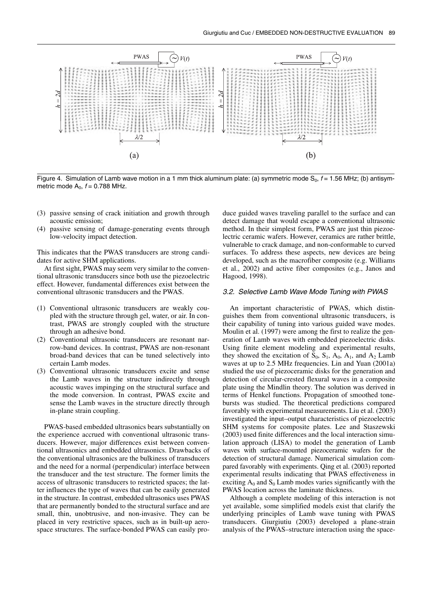

Figure 4. Simulation of Lamb wave motion in a 1 mm thick aluminum plate: (a) symmetric mode  $S_0$ ,  $f = 1.56$  MHz; (b) antisymmetric mode  $A_0$ ,  $f = 0.788$  MHz.

- (3) passive sensing of crack initiation and growth through acoustic emission;
- (4) passive sensing of damage-generating events through low-velocity impact detection.

This indicates that the PWAS transducers are strong candidates for active SHM applications.

At first sight, PWAS may seem very similar to the conventional ultrasonic transducers since both use the piezoelectric effect. However, fundamental differences exist between the conventional ultrasonic transducers and the PWAS.

- (1) Conventional ultrasonic transducers are weakly coupled with the structure through gel, water, or air. In contrast, PWAS are strongly coupled with the structure through an adhesive bond.
- (2) Conventional ultrasonic transducers are resonant narrow-band devices. In contrast, PWAS are non-resonant broad-band devices that can be tuned selectively into certain Lamb modes.
- (3) Conventional ultrasonic transducers excite and sense the Lamb waves in the structure indirectly through acoustic waves impinging on the structural surface and the mode conversion. In contrast, PWAS excite and sense the Lamb waves in the structure directly through in-plane strain coupling.

PWAS-based embedded ultrasonics bears substantially on the experience accrued with conventional ultrasonic transducers. However, major differences exist between conventional ultrasonics and embedded ultrasonics. Drawbacks of the conventional ultrasonics are the bulkiness of transducers and the need for a normal (perpendicular) interface between the transducer and the test structure. The former limits the access of ultrasonic transducers to restricted spaces; the latter influences the type of waves that can be easily generated in the structure. In contrast, embedded ultrasonics uses PWAS that are permanently bonded to the structural surface and are small, thin, unobtrusive, and non-invasive. They can be placed in very restrictive spaces, such as in built-up aerospace structures. The surface-bonded PWAS can easily produce guided waves traveling parallel to the surface and can detect damage that would escape a conventional ultrasonic method. In their simplest form, PWAS are just thin piezoelectric ceramic wafers. However, ceramics are rather brittle, vulnerable to crack damage, and non-conformable to curved surfaces. To address these aspects, new devices are being developed, such as the macrofiber composite (e.g. Williams et al., 2002) and active fiber composites (e.g., Janos and Hagood, 1998).

# 3.2. Selective Lamb Wave Mode Tuning with PWAS

An important characteristic of PWAS, which distinguishes them from conventional ultrasonic transducers, is their capability of tuning into various guided wave modes. Moulin et al. (1997) were among the first to realize the generation of Lamb waves with embedded piezoelectric disks. Using finite element modeling and experimental results, they showed the excitation of  $S_0$ ,  $S_1$ ,  $A_0$ ,  $A_1$ , and  $A_2$  Lamb waves at up to 2.5 MHz frequencies. Lin and Yuan (2001a) studied the use of piezoceramic disks for the generation and detection of circular-crested flexural waves in a composite plate using the Mindlin theory. The solution was derived in terms of Henkel functions. Propagation of smoothed tonebursts was studied. The theoretical predictions compared favorably with experimental measurements. Liu et al. (2003) investigated the input–output characteristics of piezoelectric SHM systems for composite plates. Lee and Staszewski (2003) used finite differences and the local interaction simulation approach (LISA) to model the generation of Lamb waves with surface-mounted piezoceramic wafers for the detection of structural damage. Numerical simulation compared favorably with experiments. Qing et al. (2003) reported experimental results indicating that PWAS effectiveness in exciting  $A_0$  and  $S_0$  Lamb modes varies significantly with the PWAS location across the laminate thickness.

Although a complete modeling of this interaction is not yet available, some simplified models exist that clarify the underlying principles of Lamb wave tuning with PWAS transducers. Giurgiutiu (2003) developed a plane-strain analysis of the PWAS–structure interaction using the space-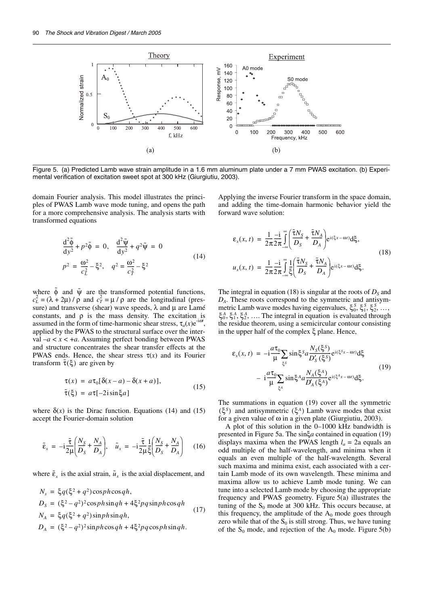

Figure 5. (a) Predicted Lamb wave strain amplitude in a 1.6 mm aluminum plate under a 7 mm PWAS excitation. (b) Experimental verification of excitation sweet spot at 300 kHz (Giurgiutiu, 2003).

domain Fourier analysis. This model illustrates the principles of PWAS Lamb wave mode tuning, and opens the path for a more comprehensive analysis. The analysis starts with transformed equations

$$
\frac{d^2\tilde{\phi}}{dy^2} + p^2\tilde{\phi} = 0, \quad \frac{d^2\tilde{\psi}}{dy^2} + q^2\tilde{\psi} = 0
$$
  

$$
p^2 = \frac{\omega^2}{c_L^2} - \xi^2, \quad q^2 = \frac{\omega^2}{c_T^2} - \xi^2
$$
 (14)

where  $\tilde{\phi}$  and  $\tilde{\psi}$  are the transformed potential functions,  $c_L^2 = (\lambda + 2\mu) / \rho$  and  $c_T^2 = \mu / \rho$  are the longitudinal (pressure) and transverse (shear) wave speeds,  $\lambda$  and  $\mu$  are Lamé constants, and  $\rho$  is the mass density. The excitation is assumed in the form of time-harmonic shear stress,  $\tau_a(x) e^{-i\omega t}$ , applied by the PWAS to the structural surface over the interval  $-a < x < +a$ . Assuming perfect bonding between PWAS and structure concentrates the shear transfer effects at the PWAS ends. Hence, the shear stress  $\tau(x)$  and its Fourier transform  $\tilde{\tau}(\xi)$  are given by

$$
\tau(x) = a\tau_0[\delta(x-a) - \delta(x+a)],
$$
  
\n
$$
\tilde{\tau}(\xi) = a\tau[-2\sin\xi a]
$$
\n(15)

where  $\delta(x)$  is the Dirac function. Equations (14) and (15) accept the Fourier-domain solution

$$
\tilde{\varepsilon}_x = -i\frac{\tilde{\tau}}{2\mu} \left( \frac{N_S}{D_S} + \frac{N_A}{D_A} \right), \quad \tilde{u}_x = -i\frac{\tilde{\tau}}{2\mu} \frac{1}{\xi} \left( \frac{N_S}{D_S} + \frac{N_A}{D_A} \right) \quad (16)
$$

where  $\tilde{\epsilon}_x$  is the axial strain,  $\tilde{u}_x$  is the axial displacement, and

$$
N_s = \xi q(\xi^2 + q^2) \cos ph \cos qh,
$$
  
\n
$$
D_s = (\xi^2 - q^2)^2 \cos ph \sin qh + 4\xi^2 pq \sin ph \cos qh
$$
  
\n
$$
N_A = \xi q(\xi^2 + q^2) \sin ph \sin qh,
$$
  
\n
$$
D_A = (\xi^2 - q^2)^2 \sin ph \cos qh + 4\xi^2 pq \cos ph \sin qh.
$$
\n(17)

Applying the inverse Fourier transform in the space domain, and adding the time-domain harmonic behavior yield the forward wave solution:

$$
\varepsilon_{x}(x,t) = \frac{1}{2\pi} \frac{-i}{2\pi} \int_{-\infty}^{\infty} \left( \frac{\tilde{\tau} N_{S}}{D_{S}} + \frac{\tilde{\tau} N_{A}}{D_{A}} \right) e^{i(\xi x - \omega t)} d\xi,
$$
\n
$$
u_{x}(x,t) = \frac{1}{2\pi} \frac{-i}{2\pi} \int_{-\infty}^{\infty} \frac{1}{\xi} \left( \frac{\tilde{\tau} N_{S}}{D_{S}} + \frac{\tilde{\tau} N_{A}}{D_{A}} \right) e^{i(\xi x - \omega t)} d\xi.
$$
\n(18)

The integral in equation (18) is singular at the roots of  $D<sub>S</sub>$  and *DA*. These roots correspond to the symmetric and antisymmetric Lamb wave modes having eigenvalues,  $\xi_0^S$ ,  $\xi_1^S$ ,  $\xi_2^S$ , ...,  $\xi_0^A$ ,  $\xi_1^A$ ,  $\xi_2^A$ , .... The integral in equation is evaluated through the residue theorem, using a semicircular contour consisting in the upper half of the complex ξ plane. Hence,

$$
\varepsilon_{x}(x,t) = -i \frac{a\tau_{0}}{\mu} \sum_{\xi^{S}} \sin \xi^{S} a \frac{N_{S}(\xi^{S})}{D'_{S}(\xi^{S})} e^{i(\xi^{S}x - \omega t)} d\xi
$$
  
- 
$$
i \frac{a\tau_{0}}{\mu} \sum_{\xi^{A}} \sin \xi^{A} a \frac{N_{A}(\xi^{A})}{D'_{A}(\xi^{A})} e^{i(\xi^{A}x - \omega t)} d\xi.
$$
 (19)

The summations in equation (19) cover all the symmetric  $(ξ<sup>S</sup>)$  and antisymmetric  $(ξ<sup>A</sup>)$  Lamb wave modes that exist for a given value of  $\omega$  in a given plate (Giurgiutiu, 2003).

A plot of this solution in the 0–1000 kHz bandwidth is presented in Figure 5a. The sinξ*a* contained in equation (19) displays maxima when the PWAS length  $l_a = 2a$  equals an odd multiple of the half-wavelength, and minima when it equals an even multiple of the half-wavelength. Several such maxima and minima exist, each associated with a certain Lamb mode of its own wavelength. These minima and maxima allow us to achieve Lamb mode tuning. We can tune into a selected Lamb mode by choosing the appropriate frequency and PWAS geometry. Figure 5(a) illustrates the tuning of the  $S_0$  mode at 300 kHz. This occurs because, at this frequency, the amplitude of the  $A_0$  mode goes through zero while that of the  $S_0$  is still strong. Thus, we have tuning of the  $S_0$  mode, and rejection of the  $A_0$  mode. Figure 5(b)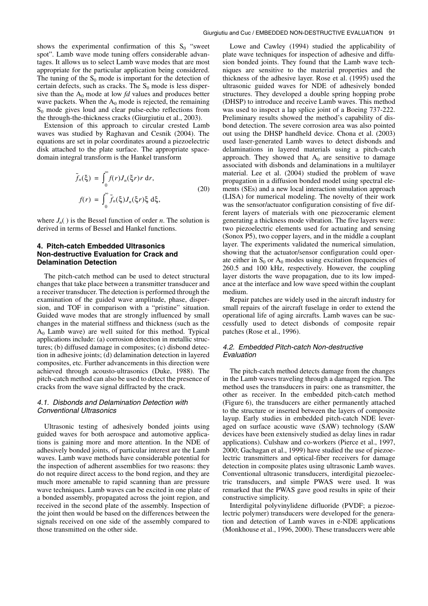shows the experimental confirmation of this  $S_0$  "sweet" spot". Lamb wave mode tuning offers considerable advantages. It allows us to select Lamb wave modes that are most appropriate for the particular application being considered. The tuning of the  $S_0$  mode is important for the detection of certain defects, such as cracks. The  $S_0$  mode is less dispersive than the  $A_0$  mode at low  $fd$  values and produces better wave packets. When the  $A_0$  mode is rejected, the remaining  $S_0$  mode gives loud and clear pulse-echo reflections from the through-the-thickness cracks (Giurgiutiu et al., 2003).

Extension of this approach to circular crested Lamb waves was studied by Raghavan and Cesnik (2004). The equations are set in polar coordinates around a piezoelectric disk attached to the plate surface. The appropriate spacedomain integral transform is the Hankel transform

$$
\tilde{f}_n(\xi) = \int_0^\infty f(r) J_n(\xi r) r \, dr,
$$
\n
$$
f(r) = \int_0^\infty \tilde{f}_n(\xi) J_n(\xi r) \xi \, d\xi,
$$
\n(20)

where  $J_n$ () is the Bessel function of order *n*. The solution is derived in terms of Bessel and Hankel functions.

#### **4. Pitch-catch Embedded Ultrasonics Non-destructive Evaluation for Crack and Delamination Detection**

The pitch-catch method can be used to detect structural changes that take place between a transmitter transducer and a receiver transducer. The detection is performed through the examination of the guided wave amplitude, phase, dispersion, and TOF in comparison with a "pristine" situation. Guided wave modes that are strongly influenced by small changes in the material stiffness and thickness (such as the  $A_0$  Lamb wave) are well suited for this method. Typical applications include: (a) corrosion detection in metallic structures; (b) diffused damage in composites; (c) disbond detection in adhesive joints; (d) delamination detection in layered composites, etc. Further advancements in this direction were achieved through acousto-ultrasonics (Duke, 1988). The pitch-catch method can also be used to detect the presence of cracks from the wave signal diffracted by the crack.

#### 4.1. Disbonds and Delamination Detection with Conventional Ultrasonics

Ultrasonic testing of adhesively bonded joints using guided waves for both aerospace and automotive applications is gaining more and more attention. In the NDE of adhesively bonded joints, of particular interest are the Lamb waves. Lamb wave methods have considerable potential for the inspection of adherent assemblies for two reasons: they do not require direct access to the bond region, and they are much more amenable to rapid scanning than are pressure wave techniques. Lamb waves can be excited in one plate of a bonded assembly, propagated across the joint region, and received in the second plate of the assembly. Inspection of the joint then would be based on the differences between the signals received on one side of the assembly compared to those transmitted on the other side.

Lowe and Cawley (1994) studied the applicability of plate wave techniques for inspection of adhesive and diffusion bonded joints. They found that the Lamb wave techniques are sensitive to the material properties and the thickness of the adhesive layer. Rose et al. (1995) used the ultrasonic guided waves for NDE of adhesively bonded structures. They developed a double spring hopping probe (DHSP) to introduce and receive Lamb waves. This method was used to inspect a lap splice joint of a Boeing 737-222. Preliminary results showed the method's capability of disbond detection. The severe corrosion area was also pointed out using the DHSP handheld device. Chona et al. (2003) used laser-generated Lamb waves to detect disbonds and delaminations in layered materials using a pitch-catch approach. They showed that  $A_0$  are sensitive to damage associated with disbonds and delaminations in a multilayer material. Lee et al. (2004) studied the problem of wave propagation in a diffusion bonded model using spectral elements (SEs) and a new local interaction simulation approach (LISA) for numerical modeling. The novelty of their work was the sensor/actuator configuration consisting of five different layers of materials with one piezoceramic element generating a thickness mode vibration. The five layers were: two piezoelectric elements used for actuating and sensing (Sonox P5), two copper layers, and in the middle a couplant layer. The experiments validated the numerical simulation, showing that the actuator/sensor configuration could operate either in  $S_0$  or  $A_0$  modes using excitation frequencies of 260.5 and 100 kHz, respectively. However, the coupling layer distorts the wave propagation, due to its low impedance at the interface and low wave speed within the couplant medium.

Repair patches are widely used in the aircraft industry for small repairs of the aircraft fuselage in order to extend the operational life of aging aircrafts. Lamb waves can be successfully used to detect disbonds of composite repair patches (Rose et al., 1996).

#### 4.2. Embedded Pitch-catch Non-destructive Evaluation

The pitch-catch method detects damage from the changes in the Lamb waves traveling through a damaged region. The method uses the transducers in pairs: one as transmitter, the other as receiver. In the embedded pitch-catch method (Figure 6), the transducers are either permanently attached to the structure or inserted between the layers of composite layup. Early studies in embedded pitch-catch NDE leveraged on surface acoustic wave (SAW) technology (SAW devices have been extensively studied as delay lines in radar applications). Culshaw and co-workers (Pierce et al., 1997, 2000; Gachagan et al., 1999) have studied the use of piezoelectric transmitters and optical-fiber receivers for damage detection in composite plates using ultrasonic Lamb waves. Conventional ultrasonic transducers, interdigital piezoelectric transducers, and simple PWAS were used. It was remarked that the PWAS gave good results in spite of their constructive simplicity.

Interdigital polyvinylidene difluoride (PVDF; a piezoelectric polymer) transducers were developed for the generation and detection of Lamb waves in e-NDE applications (Monkhouse et al., 1996, 2000). These transducers were able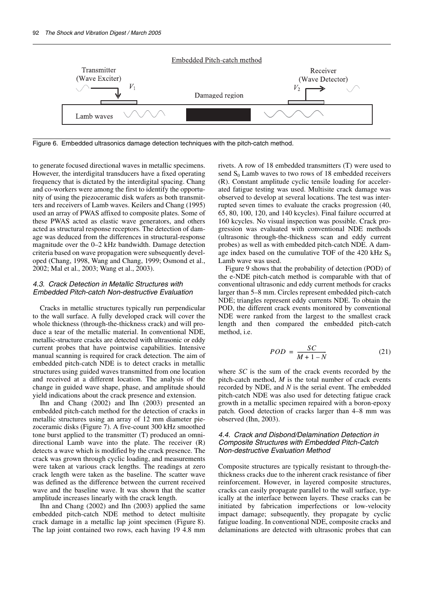

Figure 6. Embedded ultrasonics damage detection techniques with the pitch-catch method.

to generate focused directional waves in metallic specimens. However, the interdigital transducers have a fixed operating frequency that is dictated by the interdigital spacing. Chang and co-workers were among the first to identify the opportunity of using the piezoceramic disk wafers as both transmitters and receivers of Lamb waves. Keilers and Chang (1995) used an array of PWAS affixed to composite plates. Some of these PWAS acted as elastic wave generators, and others acted as structural response receptors. The detection of damage was deduced from the differences in structural-response magnitude over the 0–2 kHz bandwidth. Damage detection criteria based on wave propagation were subsequently developed (Chang, 1998, Wang and Chang, 1999; Osmond et al., 2002; Mal et al., 2003; Wang et al., 2003).

#### 4.3. Crack Detection in Metallic Structures with Embedded Pitch-catch Non-destructive Evaluation

Cracks in metallic structures typically run perpendicular to the wall surface. A fully developed crack will cover the whole thickness (through-the-thickness crack) and will produce a tear of the metallic material. In conventional NDE, metallic-structure cracks are detected with ultrasonic or eddy current probes that have pointwise capabilities. Intensive manual scanning is required for crack detection. The aim of embedded pitch-catch NDE is to detect cracks in metallic structures using guided waves transmitted from one location and received at a different location. The analysis of the change in guided wave shape, phase, and amplitude should yield indications about the crack presence and extension.

Ihn and Chang (2002) and Ihn (2003) presented an embedded pitch-catch method for the detection of cracks in metallic structures using an array of 12 mm diameter piezoceramic disks (Figure 7). A five-count 300 kHz smoothed tone burst applied to the transmitter (T) produced an omnidirectional Lamb wave into the plate. The receiver (R) detects a wave which is modified by the crack presence. The crack was grown through cyclic loading, and measurements were taken at various crack lengths. The readings at zero crack length were taken as the baseline. The scatter wave was defined as the difference between the current received wave and the baseline wave. It was shown that the scatter amplitude increases linearly with the crack length.

Ihn and Chang (2002) and Ihn (2003) applied the same embedded pitch-catch NDE method to detect multisite crack damage in a metallic lap joint specimen (Figure 8). The lap joint contained two rows, each having 19 4.8 mm

rivets. A row of 18 embedded transmitters (T) were used to send  $S_0$  Lamb waves to two rows of 18 embedded receivers (R). Constant amplitude cyclic tensile loading for accelerated fatigue testing was used. Multisite crack damage was observed to develop at several locations. The test was interrupted seven times to evaluate the cracks progression (40, 65, 80, 100, 120, and 140 kcycles). Final failure occurred at 160 kcycles. No visual inspection was possible. Crack progression was evaluated with conventional NDE methods (ultrasonic through-the-thickness scan and eddy current probes) as well as with embedded pitch-catch NDE. A damage index based on the cumulative TOF of the 420 kHz  $S_0$ Lamb wave was used.

Figure 9 shows that the probability of detection (POD) of the e-NDE pitch-catch method is comparable with that of conventional ultrasonic and eddy current methods for cracks larger than 5–8 mm. Circles represent embedded pitch-catch NDE; triangles represent eddy currents NDE. To obtain the POD, the different crack events monitored by conventional NDE were ranked from the largest to the smallest crack length and then compared the embedded pitch-catch method, i.e.

$$
POD = \frac{SC}{M + 1 - N} \tag{21}
$$

where *SC* is the sum of the crack events recorded by the pitch-catch method, *M* is the total number of crack events recorded by NDE, and *N* is the serial event. The embedded pitch-catch NDE was also used for detecting fatigue crack growth in a metallic specimen repaired with a boron-epoxy patch. Good detection of cracks larger than 4–8 mm was observed (Ihn, 2003).

#### 4.4. Crack and Disbond/Delamination Detection in Composite Structures with Embedded Pitch-Catch Non-destructive Evaluation Method

Composite structures are typically resistant to through-thethickness cracks due to the inherent crack resistance of fiber reinforcement. However, in layered composite structures, cracks can easily propagate parallel to the wall surface, typically at the interface between layers. These cracks can be initiated by fabrication imperfections or low-velocity impact damage; subsequently, they propagate by cyclic fatigue loading. In conventional NDE, composite cracks and delaminations are detected with ultrasonic probes that can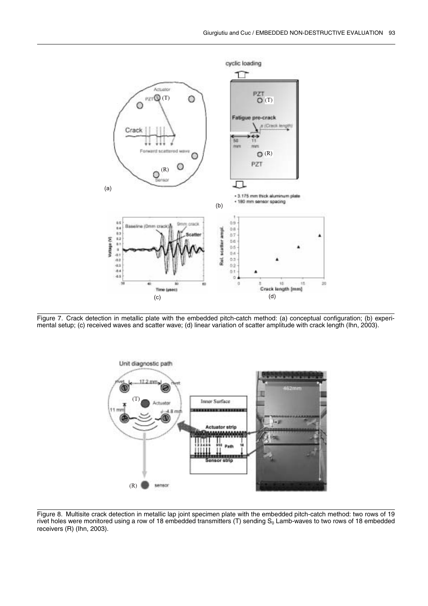

Figure 7. Crack detection in metallic plate with the embedded pitch-catch method: (a) conceptual configuration; (b) experimental setup; (c) received waves and scatter wave; (d) linear variation of scatter amplitude with crack length (Ihn, 2003).



Figure 8. Multisite crack detection in metallic lap joint specimen plate with the embedded pitch-catch method: two rows of 19 rivet holes were monitored using a row of 18 embedded transmitters (T) sending  $S_0$  Lamb-waves to two rows of 18 embedded receivers (R) (Ihn, 2003).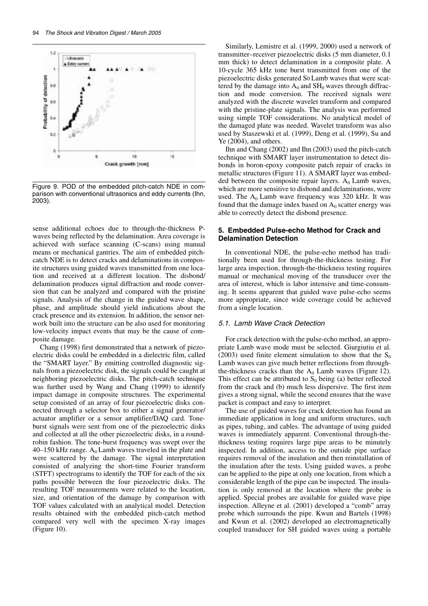

Figure 9. POD of the embedded pitch-catch NDE in comparison with conventional ultrasonics and eddy currents (Ihn, 2003).

sense additional echoes due to through-the-thickness Pwaves being reflected by the delamination. Area coverage is achieved with surface scanning (C-scans) using manual means or mechanical gantries. The aim of embedded pitchcatch NDE is to detect cracks and delaminations in composite structures using guided waves transmitted from one location and received at a different location. The disbond/ delamination produces signal diffraction and mode conversion that can be analyzed and compared with the pristine signals. Analysis of the change in the guided wave shape, phase, and amplitude should yield indications about the crack presence and its extension. In addition, the sensor network built into the structure can be also used for monitoring low-velocity impact events that may be the cause of composite damage.

Chang (1998) first demonstrated that a network of piezoelectric disks could be embedded in a dielectric film, called the "SMART layer." By emitting controlled diagnostic signals from a piezoelectric disk, the signals could be caught at neighboring piezoelectric disks. The pitch-catch technique was further used by Wang and Chang (1999) to identify impact damage in composite structures. The experimental setup consisted of an array of four piezoelectric disks connected through a selector box to either a signal generator/ actuator amplifier or a sensor amplifier/DAQ card. Toneburst signals were sent from one of the piezoelectric disks and collected at all the other piezoelectric disks, in a roundrobin fashion. The tone-burst frequency was swept over the 40–150 kHz range.  $A_0$  Lamb waves traveled in the plate and were scattered by the damage. The signal interpretation consisted of analyzing the short-time Fourier transform (STFT) spectrograms to identify the TOF for each of the six paths possible between the four piezoelectric disks. The resulting TOF measurements were related to the location, size, and orientation of the damage by comparison with TOF values calculated with an analytical model. Detection results obtained with the embedded pitch-catch method compared very well with the specimen X-ray images (Figure 10).

Similarly, Lemistre et al. (1999, 2000) used a network of transmitter–receiver piezoelectric disks (5 mm diameter, 0.1 mm thick) to detect delamination in a composite plate. A 10-cycle 365 kHz tone burst transmitted from one of the piezoelectric disks generated S0 Lamb waves that were scattered by the damage into  $A_0$  and  $SH_0$  waves through diffraction and mode conversion. The received signals were analyzed with the discrete wavelet transform and compared with the pristine-plate signals. The analysis was performed using simple TOF considerations. No analytical model of the damaged plate was needed. Wavelet transform was also used by Staszewski et al. (1999), Deng et al. (1999), Su and Ye (2004), and others.

Ihn and Chang (2002) and Ihn (2003) used the pitch-catch technique with SMART layer instrumentation to detect disbonds in boron-epoxy composite patch repair of cracks in metallic structures (Figure 11). A SMART layer was embedded between the composite repair layers.  $A_0$  Lamb waves, which are more sensitive to disbond and delaminations, were used. The  $A_0$  Lamb wave frequency was 320 kHz. It was found that the damage index based on  $A_0$  scatter energy was able to correctly detect the disbond presence.

#### **5. Embedded Pulse-echo Method for Crack and Delamination Detection**

In conventional NDE, the pulse-echo method has traditionally been used for through-the-thickness testing. For large area inspection, through-the-thickness testing requires manual or mechanical moving of the transducer over the area of interest, which is labor intensive and time-consuming. It seems apparent that guided wave pulse-echo seems more appropriate, since wide coverage could be achieved from a single location.

#### 5.1. Lamb Wave Crack Detection

For crack detection with the pulse-echo method, an appropriate Lamb wave mode must be selected. Giurgiutiu et al. (2003) used finite element simulation to show that the  $S_0$ Lamb waves can give much better reflections from throughthe-thickness cracks than the  $A_0$  Lamb waves (Figure 12). This effect can be attributed to  $S_0$  being (a) better reflected from the crack and (b) much less dispersive. The first item gives a strong signal, while the second ensures that the wave packet is compact and easy to interpret.

The use of guided waves for crack detection has found an immediate application in long and uniform structures, such as pipes, tubing, and cables. The advantage of using guided waves is immediately apparent. Conventional through-thethickness testing requires large pipe areas to be minutely inspected. In addition, access to the outside pipe surface requires removal of the insulation and then reinstallation of the insulation after the tests. Using guided waves, a probe can be applied to the pipe at only one location, from which a considerable length of the pipe can be inspected. The insulation is only removed at the location where the probe is applied. Special probes are available for guided wave pipe inspection. Alleyne et al. (2001) developed a "comb" array probe which surrounds the pipe. Kwun and Bartels (1998) and Kwun et al. (2002) developed an electromagnetically coupled transducer for SH guided waves using a portable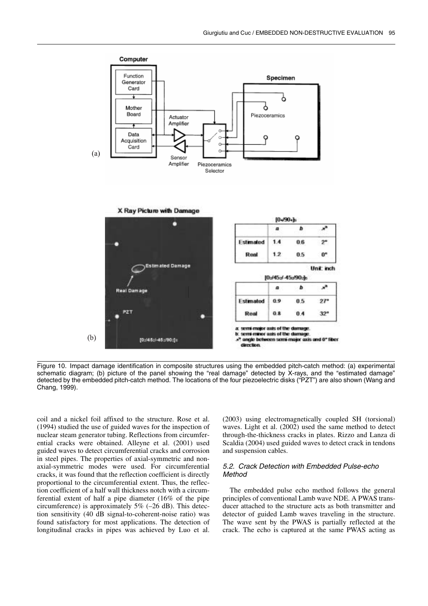

Figure 10. Impact damage identification in composite structures using the embedded pitch-catch method: (a) experimental schematic diagram; (b) picture of the panel showing the "real damage" detected by X-rays, and the "estimated damage" detected by the embedded pitch-catch method. The locations of the four piezoelectric disks ("PZT") are also shown (Wang and Chang, 1999).

coil and a nickel foil affixed to the structure. Rose et al. (1994) studied the use of guided waves for the inspection of nuclear steam generator tubing. Reflections from circumferential cracks were obtained. Alleyne et al. (2001) used guided waves to detect circumferential cracks and corrosion in steel pipes. The properties of axial-symmetric and nonaxial-symmetric modes were used. For circumferential cracks, it was found that the reflection coefficient is directly proportional to the circumferential extent. Thus, the reflection coefficient of a half wall thickness notch with a circumferential extent of half a pipe diameter (16% of the pipe circumference) is approximately  $5\%$  (-26 dB). This detection sensitivity (40 dB signal-to-coherent-noise ratio) was found satisfactory for most applications. The detection of longitudinal cracks in pipes was achieved by Luo et al. (2003) using electromagnetically coupled SH (torsional) waves. Light et al. (2002) used the same method to detect through-the-thickness cracks in plates. Rizzo and Lanza di Scaldia (2004) used guided waves to detect crack in tendons and suspension cables.

#### 5.2. Crack Detection with Embedded Pulse-echo Method

The embedded pulse echo method follows the general principles of conventional Lamb wave NDE. A PWAS transducer attached to the structure acts as both transmitter and detector of guided Lamb waves traveling in the structure. The wave sent by the PWAS is partially reflected at the crack. The echo is captured at the same PWAS acting as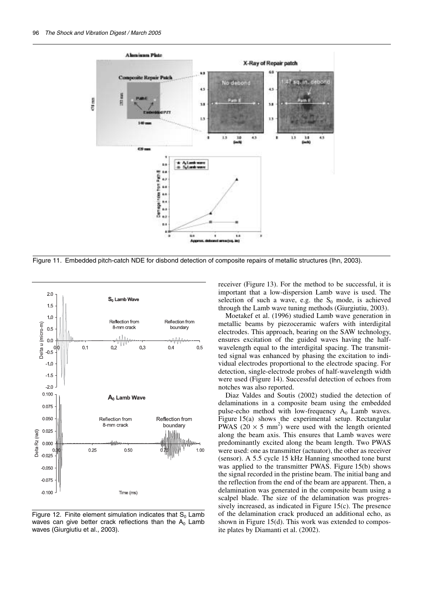

Figure 11. Embedded pitch-catch NDE for disbond detection of composite repairs of metallic structures (Ihn, 2003).



Figure 12. Finite element simulation indicates that  $S_0$  Lamb waves can give better crack reflections than the  $A_0$  Lamb waves (Giurgiutiu et al., 2003).

receiver (Figure 13). For the method to be successful, it is important that a low-dispersion Lamb wave is used. The selection of such a wave, e.g. the  $S_0$  mode, is achieved through the Lamb wave tuning methods (Giurgiutiu, 2003).

Moetakef et al. (1996) studied Lamb wave generation in metallic beams by piezoceramic wafers with interdigital electrodes. This approach, bearing on the SAW technology, ensures excitation of the guided waves having the halfwavelength equal to the interdigital spacing. The transmitted signal was enhanced by phasing the excitation to individual electrodes proportional to the electrode spacing. For detection, single-electrode probes of half-wavelength width were used (Figure 14). Successful detection of echoes from notches was also reported.

Diaz Valdes and Soutis (2002) studied the detection of delaminations in a composite beam using the embedded pulse-echo method with low-frequency  $A_0$  Lamb waves. Figure 15(a) shows the experimental setup. Rectangular PWAS (20  $\times$  5 mm<sup>2</sup>) were used with the length oriented along the beam axis. This ensures that Lamb waves were predominantly excited along the beam length. Two PWAS were used: one as transmitter (actuator), the other as receiver (sensor). A 5.5 cycle 15 kHz Hanning smoothed tone burst was applied to the transmitter PWAS. Figure 15(b) shows the signal recorded in the pristine beam. The initial bang and the reflection from the end of the beam are apparent. Then, a delamination was generated in the composite beam using a scalpel blade. The size of the delamination was progressively increased, as indicated in Figure 15(c). The presence of the delamination crack produced an additional echo, as shown in Figure 15(d). This work was extended to composite plates by Diamanti et al. (2002).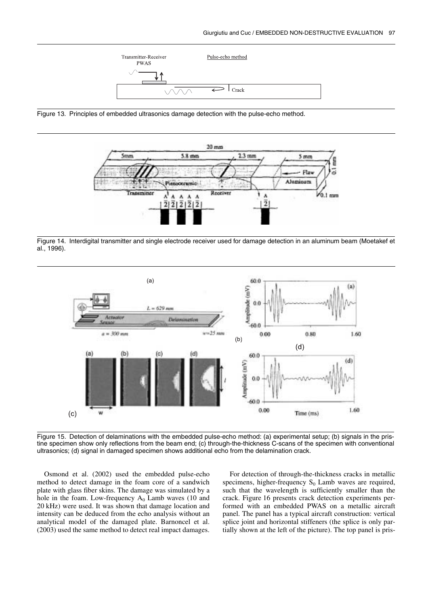

Figure 13. Principles of embedded ultrasonics damage detection with the pulse-echo method.



Figure 14. Interdigital transmitter and single electrode receiver used for damage detection in an aluminum beam (Moetakef et al., 1996).



Figure 15. Detection of delaminations with the embedded pulse-echo method: (a) experimental setup: (b) signals in the pristine specimen show only reflections from the beam end; (c) through-the-thickness C-scans of the specimen with conventional ultrasonics; (d) signal in damaged specimen shows additional echo from the delamination crack.

Osmond et al. (2002) used the embedded pulse-echo method to detect damage in the foam core of a sandwich plate with glass fiber skins. The damage was simulated by a hole in the foam. Low-frequency  $A_0$  Lamb waves (10 and 20 kHz) were used. It was shown that damage location and intensity can be deduced from the echo analysis without an analytical model of the damaged plate. Barnoncel et al. (2003) used the same method to detect real impact damages.

For detection of through-the-thickness cracks in metallic specimens, higher-frequency  $S_0$  Lamb waves are required, such that the wavelength is sufficiently smaller than the crack. Figure 16 presents crack detection experiments performed with an embedded PWAS on a metallic aircraft panel. The panel has a typical aircraft construction: vertical splice joint and horizontal stiffeners (the splice is only partially shown at the left of the picture). The top panel is pris-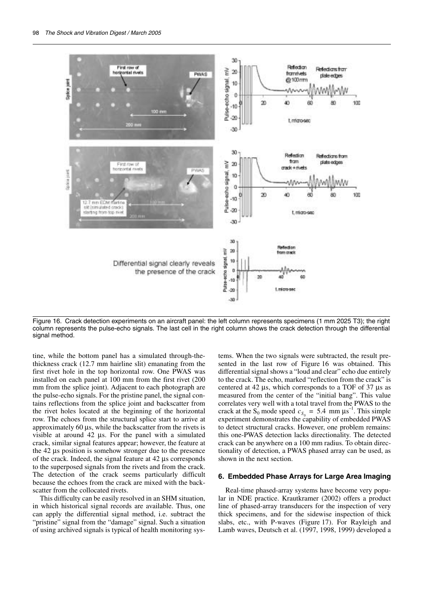

Figure 16. Crack detection experiments on an aircraft panel: the left column represents specimens (1 mm 2025 T3); the right column represents the pulse-echo signals. The last cell in the right column shows the crack detection through the differential signal method.

tine, while the bottom panel has a simulated through-thethickness crack (12.7 mm hairline slit) emanating from the first rivet hole in the top horizontal row. One PWAS was installed on each panel at 100 mm from the first rivet (200 mm from the splice joint). Adjacent to each photograph are the pulse-echo signals. For the pristine panel, the signal contains reflections from the splice joint and backscatter from the rivet holes located at the beginning of the horizontal row. The echoes from the structural splice start to arrive at approximately 60 µs, while the backscatter from the rivets is visible at around 42 µs. For the panel with a simulated crack, similar signal features appear; however, the feature at the 42 µs position is somehow stronger due to the presence of the crack. Indeed, the signal feature at 42 µs corresponds to the superposed signals from the rivets and from the crack. The detection of the crack seems particularly difficult because the echoes from the crack are mixed with the backscatter from the collocated rivets.

This difficulty can be easily resolved in an SHM situation, in which historical signal records are available. Thus, one can apply the differential signal method, i.e. subtract the "pristine" signal from the "damage" signal. Such a situation of using archived signals is typical of health monitoring systems. When the two signals were subtracted, the result presented in the last row of Figure 16 was obtained. This differential signal shows a "loud and clear" echo due entirely to the crack. The echo, marked "reflection from the crack" is centered at 42 µs, which corresponds to a TOF of 37 µs as measured from the center of the "initial bang". This value correlates very well with a total travel from the PWAS to the crack at the S<sub>0</sub> mode speed  $c_{S_0} = 5.4$  mm  $\mu s^{-1}$ . This simple experiment demonstrates the capability of embedded PWAS to detect structural cracks. However, one problem remains: this one-PWAS detection lacks directionality. The detected crack can be anywhere on a 100 mm radius. To obtain directionality of detection, a PWAS phased array can be used, as shown in the next section.

#### **6. Embedded Phase Arrays for Large Area Imaging**

Real-time phased-array systems have become very popular in NDE practice. Krautkramer (2002) offers a product line of phased-array transducers for the inspection of very thick specimens, and for the sidewise inspection of thick slabs, etc., with P-waves (Figure 17). For Rayleigh and Lamb waves, Deutsch et al. (1997, 1998, 1999) developed a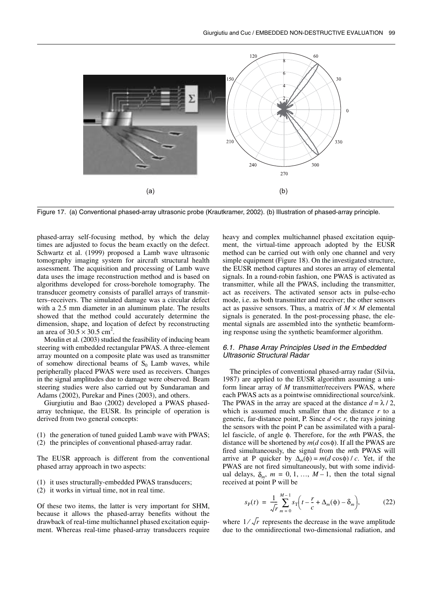

Figure 17. (a) Conventional phased-array ultrasonic probe (Krautkramer, 2002). (b) Illustration of phased-array principle.

phased-array self-focusing method, by which the delay times are adjusted to focus the beam exactly on the defect. Schwartz et al. (1999) proposed a Lamb wave ultrasonic tomography imaging system for aircraft structural health assessment. The acquisition and processing of Lamb wave data uses the image reconstruction method and is based on algorithms developed for cross-borehole tomography. The transducer geometry consists of parallel arrays of transmitters–receivers. The simulated damage was a circular defect with a 2.5 mm diameter in an aluminum plate. The results showed that the method could accurately determine the dimension, shape, and location of defect by reconstructing an area of  $30.5 \times 30.5$  cm<sup>2</sup>.

Moulin et al. (2003) studied the feasibility of inducing beam steering with embedded rectangular PWAS. A three-element array mounted on a composite plate was used as transmitter of somehow directional beams of  $S_0$  Lamb waves, while peripherally placed PWAS were used as receivers. Changes in the signal amplitudes due to damage were observed. Beam steering studies were also carried out by Sundaraman and Adams (2002), Purekar and Pines (2003), and others.

Giurgiutiu and Bao (2002) developed a PWAS phasedarray technique, the EUSR. Its principle of operation is derived from two general concepts:

- (1) the generation of tuned guided Lamb wave with PWAS;
- (2) the principles of conventional phased-array radar.

The EUSR approach is different from the conventional phased array approach in two aspects:

- (1) it uses structurally-embedded PWAS transducers;
- (2) it works in virtual time, not in real time.

Of these two items, the latter is very important for SHM, because it allows the phased-array benefits without the drawback of real-time multichannel phased excitation equipment. Whereas real-time phased-array transducers require

heavy and complex multichannel phased excitation equipment, the virtual-time approach adopted by the EUSR method can be carried out with only one channel and very simple equipment (Figure 18). On the investigated structure, the EUSR method captures and stores an array of elemental signals. In a round-robin fashion, one PWAS is activated as transmitter, while all the PWAS, including the transmitter, act as receivers. The activated sensor acts in pulse-echo mode, i.e. as both transmitter and receiver; the other sensors act as passive sensors. Thus, a matrix of  $M \times M$  elemental signals is generated. In the post-processing phase, the elemental signals are assembled into the synthetic beamforming response using the synthetic beamformer algorithm.

# 6.1. Phase Array Principles Used in the Embedded Ultrasonic Structural Radar

The principles of conventional phased-array radar (Silvia, 1987) are applied to the EUSR algorithm assuming a uniform linear array of *M* transmitter/receivers PWAS, where each PWAS acts as a pointwise omnidirectional source/sink. The PWAS in the array are spaced at the distance  $d = \lambda / 2$ , which is assumed much smaller than the distance *r* to a generic, far-distance point, P. Since  $d \ll r$ , the rays joining the sensors with the point P can be assimilated with a parallel fascicle, of angle φ. Therefore, for the *m*th PWAS, the distance will be shortened by *m*(*d* cosφ). If all the PWAS are fired simultaneously, the signal from the *m*th PWAS will arrive at P quicker by  $\Delta_m(\phi) = m(d \cos \phi) / c$ . Yet, if the PWAS are not fired simultaneously, but with some individual delays,  $\delta_m$ ,  $m = 0, 1, ..., M-1$ , then the total signal received at point P will be

$$
s_{\rm P}(t) \ = \ \frac{1}{\sqrt{r}} \sum_{m=0}^{M-1} s_{\rm T} \bigg( t - \frac{r}{c} + \Delta_m(\phi) - \delta_m \bigg), \tag{22}
$$

where  $1/\sqrt{r}$  represents the decrease in the wave amplitude due to the omnidirectional two-dimensional radiation, and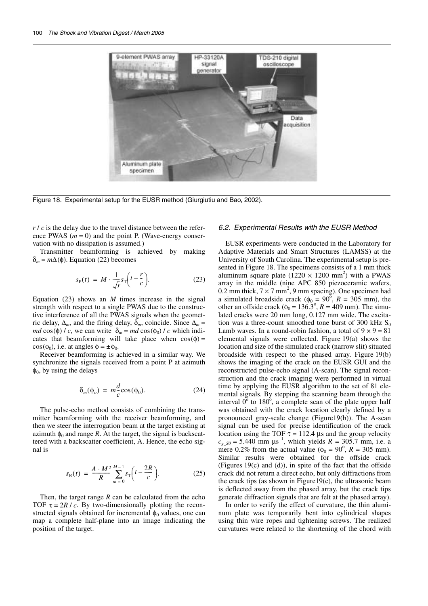

Figure 18. Experimental setup for the EUSR method (Giurgiutiu and Bao, 2002).

*r* / *c* is the delay due to the travel distance between the reference PWAS  $(m = 0)$  and the point P. (Wave-energy conservation with no dissipation is assumed.)

Transmitter beamforming is achieved by making δ*<sup>m</sup>* = *m*∆(φ). Equation (22) becomes

$$
s_{\rm P}(t) = M \cdot \frac{1}{\sqrt{r}} s_{\rm T} \left( t - \frac{r}{c} \right). \tag{23}
$$

Equation (23) shows an *M* times increase in the signal strength with respect to a single PWAS due to the constructive interference of all the PWAS signals when the geometric delay,  $\Delta_m$ , and the firing delay,  $\delta_m$ , coincide. Since  $\Delta_m$  = *md* cos( $\phi$ ) / *c*, we can write  $\delta_m = md \cos(\phi_0) / c$  which indicates that beamforming will take place when  $cos(\phi) =$  $\cos(\phi_0)$ , i.e. at angles  $\phi = \pm \phi_0$ .

Receiver beamforming is achieved in a similar way. We synchronize the signals received from a point P at azimuth  $\phi_0$ , by using the delays

$$
\delta_m(\phi_o) = m \frac{d}{c} \cos(\phi_0). \tag{24}
$$

The pulse-echo method consists of combining the transmitter beamforming with the receiver beamforming, and then we steer the interrogation beam at the target existing at azimuth  $\phi_0$  and range *R*. At the target, the signal is backscattered with a backscatter coefficient, A. Hence, the echo signal is

$$
s_{R}(t) = \frac{A \cdot M^{2}}{R} \sum_{m=0}^{M-1} s_{T}\left(t - \frac{2R}{c}\right).
$$
 (25)

Then, the target range *R* can be calculated from the echo TOF  $\tau = 2R / c$ . By two-dimensionally plotting the reconstructed signals obtained for incremental  $\phi_0$  values, one can map a complete half-plane into an image indicating the position of the target.

#### 6.2. Experimental Results with the EUSR Method

EUSR experiments were conducted in the Laboratory for Adaptive Materials and Smart Structures (LAMSS) at the University of South Carolina. The experimental setup is presented in Figure 18. The specimens consists of a 1 mm thick aluminum square plate  $(1220 \times 1200 \text{ mm}^2)$  with a PWAS array in the middle (nine APC 850 piezoceramic wafers, 0.2 mm thick,  $7 \times 7$  mm<sup>2</sup>, 9 mm spacing). One specimen had a simulated broadside crack ( $\phi_0 = 90^\circ$ ,  $R = 305$  mm), the other an offside crack ( $\phi_0 = 136.3^\circ$ ,  $R = 409$  mm). The simulated cracks were 20 mm long, 0.127 mm wide. The excitation was a three-count smoothed tone burst of 300 kHz  $S_0$ Lamb waves. In a round-robin fashion, a total of  $9 \times 9 = 81$ elemental signals were collected. Figure 19(a) shows the location and size of the simulated crack (narrow slit) situated broadside with respect to the phased array. Figure 19(b) shows the imaging of the crack on the EUSR GUI and the reconstructed pulse-echo signal (A-scan). The signal reconstruction and the crack imaging were performed in virtual time by applying the EUSR algorithm to the set of 81 elemental signals. By stepping the scanning beam through the interval  $0^{\circ}$  to 180<sup>°</sup>, a complete scan of the plate upper half was obtained with the crack location clearly defined by a pronounced gray-scale change (Figure19(b)). The A-scan signal can be used for precise identification of the crack location using the TOF  $\tau = 112.4$  µs and the group velocity  $c_{g_0/50} = 5.440$  mm  $\mu s^{-1}$ , which yields  $R = 305.7$  mm, i.e. a mere 0.2% from the actual value ( $\phi_0 = 90^\circ$ ,  $R = 305$  mm). Similar results were obtained for the offside crack (Figures 19(c) and (d)), in spite of the fact that the offside crack did not return a direct echo, but only diffractions from the crack tips (as shown in Figure19(c), the ultrasonic beam is deflected away from the phased array, but the crack tips generate diffraction signals that are felt at the phased array).

In order to verify the effect of curvature, the thin aluminum plate was temporarily bent into cylindrical shapes using thin wire ropes and tightening screws. The realized curvatures were related to the shortening of the chord with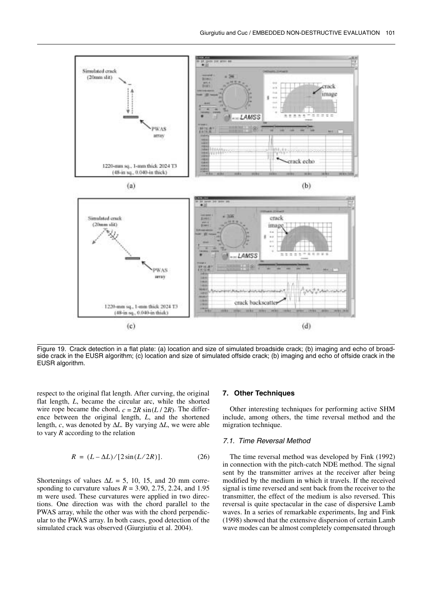

Figure 19. Crack detection in a flat plate: (a) location and size of simulated broadside crack; (b) imaging and echo of broadside crack in the EUSR algorithm; (c) location and size of simulated offside crack; (b) imaging and echo of offside crack in the EUSR algorithm.

respect to the original flat length. After curving, the original flat length, *L*, became the circular arc, while the shorted wire rope became the chord,  $c = 2R \sin(L / 2R)$ . The difference between the original length, *L*, and the shortened length, *c*, was denoted by ∆*L.* By varying ∆*L*, we were able to vary *R* according to the relation

$$
R = (L - \Delta L) / [2 \sin(L / 2R)]. \tag{26}
$$

Shortenings of values  $\Delta L = 5$ , 10, 15, and 20 mm corresponding to curvature values  $R = 3.90, 2.75, 2.24,$  and 1.95 m were used. These curvatures were applied in two directions. One direction was with the chord parallel to the PWAS array, while the other was with the chord perpendicular to the PWAS array. In both cases, good detection of the simulated crack was observed (Giurgiutiu et al. 2004).

#### **7. Other Techniques**

Other interesting techniques for performing active SHM include, among others, the time reversal method and the migration technique.

# 7.1. Time Reversal Method

The time reversal method was developed by Fink (1992) in connection with the pitch-catch NDE method. The signal sent by the transmitter arrives at the receiver after being modified by the medium in which it travels. If the received signal is time reversed and sent back from the receiver to the transmitter, the effect of the medium is also reversed. This reversal is quite spectacular in the case of dispersive Lamb waves. In a series of remarkable experiments, Ing and Fink (1998) showed that the extensive dispersion of certain Lamb wave modes can be almost completely compensated through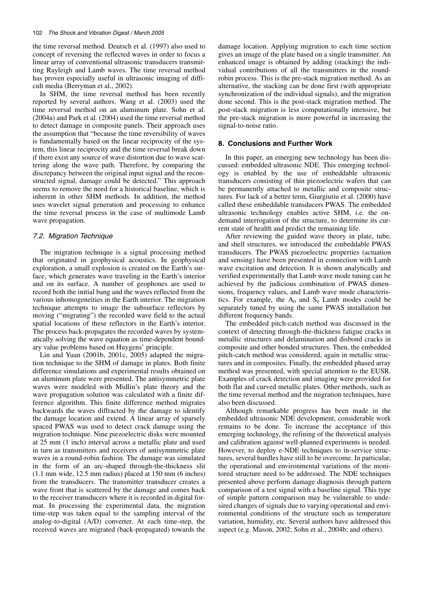the time reversal method. Deutsch et al. (1997) also used to concept of reversing the reflected waves in order to focus a linear array of conventional ultrasonic transducers transmitting Rayleigh and Lamb waves. The time reversal method has proven especially useful in ultrasonic imaging of difficult media (Berryman et al., 2002).

In SHM, the time reversal method has been recently reported by several authors. Wang et al. (2003) used the time reversal method on an aluminum plate. Sohn et al. (2004a) and Park et al. (2004) used the time reversal method to detect damage in composite panels. Their approach uses the assumption that "because the time reversibility of waves is fundamentally based on the linear reciprocity of the system, this linear reciprocity and the time reversal break down if there exist any source of wave distortion due to wave scattering along the wave path. Therefore, by comparing the discrepancy between the original input signal and the reconstructed signal, damage could be detected." This approach seems to remove the need for a historical baseline, which is inherent in other SHM methods. In addition, the method uses wavelet signal generation and processing to enhance the time reversal process in the case of multimode Lamb wave propagation.

#### 7.2. Migration Technique

The migration technique is a signal processing method that originated in geophysical acoustics. In geophysical exploration, a small explosion is created on the Earth's surface, which generates wave traveling in the Earth's interior and on its surface. A number of geophones are used to record both the initial bang and the waves reflected from the various inhomogeneities in the Earth interior. The migration technique attempts to image the subsurface reflectors by moving ("migrating") the recorded wave field to the actual spatial locations of these reflectors in the Earth's interior. The process back-propagates the recorded waves by systematically solving the wave equation as time-dependent boundary value problems based on Huygens' principle.

Lin and Yuan (2001b, 2001c, 2005) adapted the migration technique to the SHM of damage in plates. Both finite difference simulations and experimental results obtained on an aluminum plate were presented. The antisymmetric plate waves were modeled with Midlin's plate theory and the wave propagation solution was calculated with a finite difference algorithm. This finite difference method migrates backwards the waves diffracted by the damage to identify the damage location and extend. A linear array of sparsely spaced PWAS was used to detect crack damage using the migration technique. Nine piezoelectric disks were mounted at 25 mm (1 inch) interval across a metallic plate and used in turn as transmitters and receivers of antisymmetric plate waves in a round-robin fashion. The damage was simulated in the form of an arc-shaped through-the-thickness slit (1.1 mm wide, 12.5 mm radius) placed at 150 mm (6 inches) from the transducers. The transmitter transducer creates a wave front that is scattered by the damage and comes back to the receiver transducers where it is recorded in digital format. In processing the experimental data, the migration time-step was taken equal to the sampling interval of the analog-to-digital (A/D) converter. At each time-step, the received waves are migrated (back-propagated) towards the

damage location. Applying migration to each time section gives an image of the plate based on a single transmitter. An enhanced image is obtained by adding (stacking) the individual contributions of all the transmitters in the roundrobin process. This is the pre-stack migration method. As an alternative, the stacking can be done first (with appropriate synchronization of the individual signals), and the migration done second. This is the post-stack migration method. The post-stack migration is less computationally intensive, but the pre-stack migration is more powerful in increasing the signal-to-noise ratio.

#### **8. Conclusions and Further Work**

In this paper, an emerging new technology has been discussed: embedded ultrasonic NDE. This emerging technology is enabled by the use of embeddable ultrasonic transducers consisting of thin piezoelectric wafers that can be permanently attached to metallic and composite structures. For lack of a better term, Giurgiutiu et al. (2000) have called these embeddable transducers PWAS. The embedded ultrasonic technology enables active SHM, i.e. the ondemand interrogation of the structure, to determine its current state of health and predict the remaining life.

After reviewing the guided wave theory in plate, tube, and shell structures, we introduced the embeddable PWAS transducers. The PWAS piezoelectric properties (actuation and sensing) have been presented in connection with Lamb wave excitation and detection. It is shown analytically and verified experimentally that Lamb wave mode tuning can be achieved by the judicious combination of PWAS dimensions, frequency values, and Lamb wave mode characteristics. For example, the  $A_0$  and  $S_0$  Lamb modes could be separately tuned by using the same PWAS installation but different frequency bands.

The embedded pitch-catch method was discussed in the context of detecting through-the-thickness fatigue cracks in metallic structures and delamination and disbond cracks in composite and other bonded structures. Then, the embedded pitch-catch method was considered, again in metallic structures and in composites. Finally, the embedded phased array method was presented, with special attention to the EUSR. Examples of crack detection and imaging were provided for both flat and curved metallic plates. Other methods, such as the time reversal method and the migration techniques, have also been discussed.

Although remarkable progress has been made in the embedded ultrasonic NDE development, considerable work remains to be done. To increase the acceptance of this emerging technology, the refining of the theoretical analysis and calibration against well-planned experiments is needed. However, to deploy e-NDE techniques to in-service structures, several hurdles have still to be overcome. In particular, the operational and environmental variations of the monitored structure need to be addressed. The NDE techniques presented above perform damage diagnosis through pattern comparison of a test signal with a baseline signal. This type of simple pattern comparison may be vulnerable to undesired changes of signals due to varying operational and environmental conditions of the structure such as temperature variation, humidity, etc. Several authors have addressed this aspect (e.g. Mason, 2002; Sohn et al., 2004b; and others).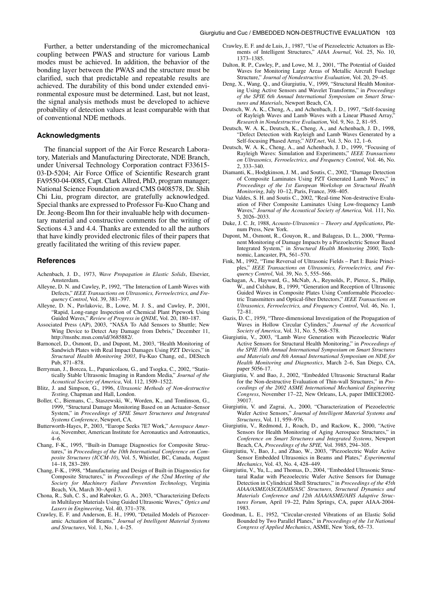#### Giurgiutiu and Cuc / EMBEDDED NON-DESTRUCTIVE EVALUATION 103

Further, a better understanding of the micromechanical coupling between PWAS and structure for various Lamb modes must be achieved. In addition, the behavior of the bonding layer between the PWAS and the structure must be clarified, such that predictable and repeatable results are achieved. The durability of this bond under extended environmental exposure must be determined. Last, but not least, the signal analysis methods must be developed to achieve probability of detection values at least comparable with that of conventional NDE methods.

#### **Acknowledgments**

The financial support of the Air Force Research Laboratory, Materials and Manufacturing Directorate, NDE Branch, under Universal Technology Corporation contract F33615- 03-D-5204; Air Force Office of Scientific Research grant FA9550-04-0085, Capt. Clark Allred, PhD, program manager; National Science Foundation award CMS 0408578, Dr. Shih Chi Liu, program director, are gratefully acknowledged. Special thanks are expressed to Professor Fu-Kuo Chang and Dr. Jeong-Beom Ihn for their invaluable help with documentary material and constructive comments for the writing of Sections 4.3 and 4.4. Thanks are extended to all the authors that have kindly provided electronic files of their papers that greatly facilitated the writing of this review paper.

#### **References**

- Achenbach, J. D., 1973, *Wave Propagation in Elastic Solids*, Elsevier, Amsterdam.
- Alleyne, D. N. and Cawley, P., 1992, "The Interaction of Lamb Waves with Defects," *IEEE Transactions on Ultrasonics, Ferroelectrics, and Frequency Control*, Vol. 39, 381–397.
- Alleyne, D. N., Pavlakovic, B., Lowe, M. J. S., and Cawley, P., 2001, "Rapid, Long-range Inspection of Chemical Plant Pipework Using Guided Waves," *Review of Progress in QNDE*, Vol. 20, 180–187.
- Associated Press (AP), 2003, "NASA To Add Sensors to Shuttle; New Wing Device to Detect Any Damage from Debris," December 11, http://msnbc.msn.com/id/3685882/.
- Barnoncel, D., Osmont, D., and Dupont, M., 2003, "Health Monitoring of Sandwich Plates with Real Impact Damages Using PZT Devices," in *Structural Health Monitoring 2003*, Fu-Kuo Chang, ed., DEStech Pub, 871–878.
- Berryman, J., Borcea, L., Papanicolaou, G., and Tsogka, C., 2002, "Statistically Stable Ultrasonic Imaging in Random Media," *Journal of the Acoustical Society of America*, Vol. 112, 1509–1522.
- Blitz, J. and Simpson, G., 1996, *Ultrasonic Methods of Non-destructive Testing,* Chapman and Hall, London.
- Boller, C., Biemans, C., Staszewski, W., Worden, K., and Tomlinson, G., 1999, "Structural Damage Monitoring Based on an Actuator–Sensor System," in *Proceedings of SPIE Smart Structures and Integrated Systems Conference*, Newport, CA.
- Butterworth-Hayes, P., 2003, "Europe Seeks 7E7 Work," *Aerospace America*, November, American Institute for Aeronautics and Astronautics, 4–6.
- Chang, F-K., 1995, "Built-in Damage Diagnostics for Composite Structures," in *Proceedings of the 10th International Conference on Composite Structures (ICCM-10)*, Vol. 5, Whistler, BC, Canada, August 14–18, 283–289.
- Chang, F-K., 1998, "Manufacturing and Design of Built-in Diagnostics for Composite Structures," in *Proceedings of the 52nd Meeting of the Society for Machinery Failure Prevention Technology*, Virginia Beach, VA, March 30–April 3.
- Chona, R., Suh, C. S., and Rabroker, G. A., 2003, "Characterizing Defects in Multilayer Materials Using Guided Ultrasonic Waves," *Optics and Lasers in Engineering*, Vol. 40, 371–378.
- Crawley, E. F. and Anderson, E. H., 1990, "Detailed Models of Piezoceramic Actuation of Beams," *Journal of Intelligent Material Systems and Structures*, Vol. 1, No. 1, 4–25.
- Crawley, E. F. and de Luis, J., 1987, "Use of Piezoelectric Actuators as Elements of Intelligent Structures," *AIAA Journal*, Vol. 25, No. 10, 1373–1385.
- Dalton, R. P., Cawley, P., and Lowe, M. J., 2001, "The Potential of Guided Waves for Monitoring Large Areas of Metallic Aircraft Fuselage Structure," *Journal of Nondestructive Evaluation*, Vol. 20, 29–45.
- Deng, X., Wang, Q., and Giurgiutiu, V., 1999, "Structural Health Monitoring Using Active Sensors and Wavelet Transforms," in *Proceedings of the SPIE 6th Annual International Symposium on Smart Structures and Materials*, Newport Beach, CA.
- Deutsch, W. A. K., Cheng, A., and Achenbach, J. D., 1997, "Self-focusing of Rayleigh Waves and Lamb Waves with a Linear Phased Array, *Research in Nondestructive Evaluation*, Vol. 9, No. 2, 81–95.
- Deutsch, W. A. K., Deutsch, K., Cheng, A., and Achenbach, J. D., 1998, "Defect Detection with Rayleigh and Lamb Waves Generated by a Self-focusing Phased Array," *NDT.net*, Vol. 3, No. 12, 1–6.
- Deutsch, W. A. K., Cheng, A., and Achenbach, J. D., 1999, "Focusing of Rayleigh Waves: Simulation and Experiments," *IEEE Transactions on Ultrasonics, Ferroelectrics, and Frequency Control*, Vol. 46, No. 2, 333–340.
- Diamanti, K., Hodgkinson, J. M., and Soutis, C., 2002, "Damage Detection of Composite Laminates Using PZT Generated Lamb Waves," in *Proceedings of the 1st European Workshop on Structural Health Monitoring*, July 10–12, Paris, France, 398–405.
- Diaz Valdes, S. H. and Soutis C., 2002, "Real-time Non-destructive Evaluation of Fiber Composite Laminates Using Low-frequency Lamb Waves," *Journal of the Acoustical Society of America,* Vol. 111, No. 5, 2026–2033.
- Duke, J. C. Jr, 1988, *Acousto-Ultrasonics Theory and Applications*, Plenum Press, New York.
- Dupont, M., Osmont, R., Gouyon, R., and Balageas, D. L., 2000, "Permanent Monitoring of Damage Impacts by a Piezoelectric Sensor Based Integrated System," in *Structural Health Monitoring 2000*, Technomic, Lancaster, PA, 561–570.
- Fink, M., 1992, "Time Reversal of Ultrasonic Fields Part I: Basic Principles," *IEEE Transactions on Ultrasonics, Ferroelectrics, and Frequency Control*, Vol. 39, No. 5, 555–566.
- Gachagan, A., Hayward, G., McNab, A., Reynolds, P., Pierce, S., Philip, W., and Culshaw, B., 1999, "Generation and Reception of Ultrasonic Guided Waves in Composite Plates Using Comformable Piezoelectric Transmitters and Optical-fiber Detectors," *IEEE Transactions on Ultrasonics, Ferroelectrics, and Frequency Control*, Vol. 46, No. 1, 72–81.
- Gazis, D. C., 1959, "Three-dimensional Investigation of the Propagation of Waves in Hollow Circular Cylinders," *Journal of the Acoustical Society of America*, Vol. 31, No. 5, 568–578.
- Giurgiutiu, V., 2003, "Lamb Wave Generation with Piezoelectric Wafer Active Sensors for Structural Health Monitoring," in *Proceedings of the SPIE 10th Annual International Symposium on Smart Structures and Materials and 8th Annual International Symposium on NDE for Health Monitoring and Diagnostics*, March 2–6, San Diego, CA, paper 5056-17.
- Giurgiutiu, V. and Bao, J., 2002, "Embedded Ultrasonic Structural Radar for the Non-destructive Evaluation of Thin-wall Structures," in *Proceedings of the 2002 ASME International Mechanical Engineering Congress*, November 17–22, New Orleans, LA, paper IMECE2002- 39017.
- Giurgiutiu, V. and Zagrai, A., 2000, "Characterization of Piezoelectric Wafer Active Sensors," *Journal of Intelligent Material Systems and Structures*, Vol. 11, 959–976.
- Giurgiutiu, V., Redmond, J., Roach, D., and Rackow, K., 2000, "Active Sensors for Health Monitoring of Aging Aerospace Structures," in *Conference on Smart Structures and Integrated Systems*, Newport Beach, CA, *Proceedings of the SPIE,* Vol. 3985, 294–305.
- Giurgiutiu, V., Bao, J., and Zhao, W., 2003, "Piezoelectric Wafer Active Sensor Embedded Ultrasonics in Beams and Plates," *Experimental Mechanics*, Vol. 43, No. 4, 428–449.
- Giurgiutiu, V., Yu, L., and Thomas, D., 2004, "Embedded Ultrasonic Structural Radar with Piezoelectric Wafer Active Sensors for Damage Detection in Cylindrical Shell Structures," in *Proceedings of the 45th AIAA/ASME/ASCE/AHS/ASC Structures, Structural Dynamics and Materials Conference and 12th AIAA/ASME/AHS Adaptive Structures Forum*, April 19–22, Palm Springs, CA, paper AIAA-2004- 1983.
- Goodman, L. E., 1952, "Circular-crested Vibrations of an Elastic Solid Bounded by Two Parallel Planes," in *Proceedings of the 1st National Congress of Applied Mechanics*, ASME, New York, 65–73.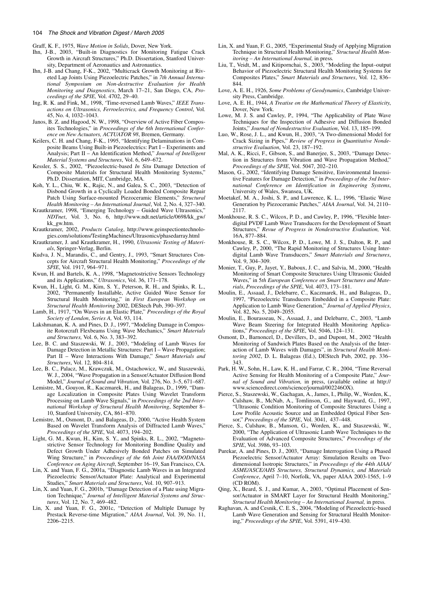#### 104 The Shock and Vibration Digest / March 2005

Graff, K. F., 1975, *Wave Motion in Solids*, Dover, New York.

- Ihn, J-B., 2003, "Built-in Diagnostics for Monitoring Fatigue Crack Growth in Aircraft Structures," Ph.D. Dissertation, Stanford University, Department of Aeronautics and Astronautics.
- Ihn, J-B. and Chang, F-K., 2002, "Multicrack Growth Monitoring at Riveted Lap Joints Using Piezoelectric Patches," in *7th Annual International Symposium on Non-destructive Evaluation for Health Monitoring and Diagnostics*, March 17–21, San Diego, CA, *Proceedings of the SPIE,* Vol. 4702, 29–40.
- Ing, R. K. and Fink, M., 1998, 'Time-reversed Lamb Waves," *IEEE Transactions on Ultrasonics, Ferroelectrics, and Frequency Control*, Vol. 45, No. 4, 1032–1043.
- Janos, B. Z. and Hagood, N. W., 1998, "Overview of Active Fiber Composites Technologies," in *Proceedings of the 6th International Conference on New Actuators, ACTUATOR 98*, Bremen, Germany.
- Keilers, C. H. and Chang, F-K., 1995, "Identifying Delaminations in Composite Beams Using Built-in Piezoelectrics: Part I – Experiments and Analysis; Part II – An Identification Method," *Journal of Intelligent Material Systems and Structures*, Vol. 6, 649–672.
- Kessler, S. S., 2002, "Piezoelectric-based *In Situ* Damage Detection of Composite Materials for Structural Health Monitoring Systems. Ph.D. Dissertation, MIT, Cambridge, MA.
- Koh, Y. L., Chiu, W. K., Rajic, N., and Galea, S. C., 2003, "Detection of Disbond Growth in a Cyclically Loaded Bonded Composite Repair Patch Using Surface-mounted Piezoceramic Elements," *Structural Health Monitoring – An International Journal*, Vol. 2, No. 4, 327–340.
- Krautkramer, 1998, "Emerging Technology Guided Wave Ultrasonics," *NDTnet*, Vol. 3, No. 6, http://www.ndt.net/article/0698/kk\_gw/ kk\_gw.htm.
- Krautkramer, 2002, *Products Catalog*, http://www.geinspectiontechnologies.com/solutions/TestingMachines/Ultrasonics/phasedarray.html
- Krautkramer, J. and Krautkramer, H., 1990, *Ultrasonic Testing of Materials*, Springer-Verlag, Berlin.
- Kudva, J. N., Marandis, C., and Gentry, J., 1993, "Smart Structures Concepts for Aircraft Structural Health Monitoring," *Proceedings of the SPIE*, Vol. 1917, 964–971.
- Kwun, H. and Bartels, K. A., 1998, "Magnetostrictive Sensors Technology and its Applications," *Ultrasonics*, Vol. 36, 171–178.
- Kwun, H., Light, G. M., Kim, S. Y., Peterson, R. H., and Spinks, R. L., 2002, "Permanently Installable, Active Guided Wave Sensor for Structural Health Monitoring," in *First European Workshop on Structural Health Monitoring* 2002, DEStech Pub, 390–397.
- Lamb, H., 1917, "On Waves in an Elastic Plate," *Proceedings of the Royal Society of London*, *Series A,* Vol. 93, 114.
- Lakshmanan, K. A. and Pines, D. J., 1997, "Modeling Damage in Composite Rotorcraft Flexbeams Using Wave Mechanics," *Smart Materials and Structures,* Vol. 6, No. 3, 383–392.
- Lee, B. C. and Staszewski, W. J., 2003, "Modeling of Lamb Waves for Damage Detection in Metallic Structures: Part I – Wave Propagation; Part II – Wave Interactions With Damage," *Smart Materials and Structures*, Vol. 12, 804–814.
- Lee, B. C., Palacz, M., Krawczuk, M., Ostachowicz, W., and Staszewski, W. J., 2004, "Wave Propagation in a Sensor/Actuator Diffusion Bond Model," *Journal of Sound and Vibration,* Vol. 276, No. 3–5, 671–687.
- Lemistre, M., Gouyon, R., Kaczmarek, H., and Balageas, D., 1999, "Damage Localization in Composite Plates Using Wavelet Transform Processing on Lamb Wave Signals," in *Proceedings of the 2nd International Workshop of Structural Health Monitoring*, September 8– 10, Stanford University, CA, 861–870.
- Lemistre, M., Osmont, D., and Balageas, D., 2000, "Active Health System Based on Wavelet Transform Analysis of Diffracted Lamb Waves," *Proceedings of the SPIE*, Vol. 4073, 194–202.
- Light, G. M., Kwun, H., Kim, S. Y., and Spinks, R. L., 2002, "Magnetostrictive Sensor Technology for Monitoring Bondline Quality and Defect Growth Under Adhesively Bonded Patches on Simulated Wing Structure," in *Proceedings of the 6th Joint FAA/DOD/NASA Conference on Aging Aircraft*, September 16–19, San Francisco, CA.
- Lin, X. and Yuan, F. G., 2001a, "Diagnostic Lamb Waves in an Integrated Piezoelectric Sensor/Actuator Plate: Analytical and Experimental Studies," *Smart Materials and Structures*, Vol. 10, 907–913.
- Lin, X. and Yuan, F. G., 2001b, "Damage Detection of a Plate using Migration Technique," *Journal of Intelligent Material Systems and Structures*, Vol. 12, No. 7, 469–482.
- Lin, X. and Yuan, F. G., 2001c, "Detection of Multiple Damage by Prestack Reverse-time Migration," *AIAA Journal*, Vol. 39, No. 11, 2206–2215.
- Lin, X. and Yuan, F. G., 2005, "Experimental Study of Applying Migration Technique in Structural Health Monitoring," *Structural Health Monitoring – An International Journal,* in press*.*
- Liu, T., Veidt, M., and Kitipornchai, S., 2003, "Modeling the Input–output Behavior of Piezoelectric Structural Health Monitoring Systems for Composites Plates," *Smart Materials and Structures*, Vol. 12, 836– 844.
- Love, A. E. H., 1926, *Some Problems of Geodynamics*, Cambridge University Press, Cambridge.
- Love, A. E. H., 1944, *A Treatise on the Mathematical Theory of Elasticity*, Dover, New York.
- Lowe, M. J. S. and Cawley, P., 1994, "The Applicability of Plate Wave Techniques for the Inspection of Adhesive and Diffusion Bonded Joints," *Journal of Nondestructive Evaluation*, Vol. 13, 185–199.
- Luo, W., Rose, J. L., and Kwun, H., 2003, "A Two-dimensional Model for Crack Sizing in Pipes," *Review of Progress in Quantitative Nondestructive Evaluation*, Vol. 23, 187–192.
- Mal, A. K., Ricci, F., Gibson, S., and Banerjee, S., 2003, "Damage Detection in Structures from Vibration and Wave Propagation Method," *Proceedings of the SPIE*, Vol. 5047, 202–210.
- Mason, G., 2002, "Identifying Damage Sensitive, Environmental Insensitive Features for Damage Detection," in *Proceedings of the 3rd International Conference on Identification in Engineering Systems*, University of Wales, Swansea, UK.
- Moetakef, M. A., Joshi, S. P., and Lawrence, K. L., 1996, "Elastic Wave Generation by Piezoceramic Patches," *AIAA Journal*, Vol. 34, 2110– 2117.
- Monkhouse, R. S. C., Wilcox, P. D., and Cawley, P., 1996, "Flexible Interdigital PVDF Lamb Wave Transducers for the Development of Smart Structures," *Revue of Progress in Nondestructive Evaluation,* Vol. 16A, 877–884.
- Monkhouse, R. S. C., Wilcox, P. D., Lowe, M. J. S., Dalton, R. P., and Cawley, P., 2000, "The Rapid Monitoring of Structures Using Interdigital Lamb Wave Transducers," *Smart Materials and Structures*, Vol. 9, 304–309.
- Monier, T., Guy, P., Jayet, Y., Baboux, J. C., and Salvia, M., 2000, "Health Monitoring of Smart Composite Structures Using Ultrasonic Guided Waves," in 5*th European Conference on Smart Structures and Materials*, *Proceedings of the SPIE*, Vol. 4073, 173–181.
- Moulin, E., Assaad, J., Delebarre, C., Kaczmarek, H., and Balageas, D., 1997, "Piezoelectric Transducers Embedded in a Composite Plate: Application to Lamb Wave Generation," *Journal of Applied Physics*, Vol. 82, No. 5, 2049–2055.
- Moulin, E., Bourasseau, N., Assaad, J., and Delebarre, C., 2003, "Lamb Wave Beam Steering for Integrated Health Monitoring Applications," *Proceedings of the SPIE*, Vol. 5046, 124–131.
- Osmont, D., Barnoncel, D., Devillers, D., and Dupont, M., 2002 "Health Monitoring of Sandwich Plates Based on the Analysis of the Interaction of Lamb Waves with Damages", in *Structural Health Monitoring 2002*, D. L. Balageas (Ed.), DEStech Pub, 2002, pp. 336– 343.
- Park, H. W., Sohn, H., Law, K. H., and Farrar, C. R., 2004, "Time Reversal Active Sensing for Health Monitoring of a Composite Plate," *Journal of Sound and Vibration,* in press, (available online at http:// www.sciencedirect.com/science/journal/002246OX).
- Pierce, S., Staszewski, W., Gachagan, A., James, I., Philip, W., Worden, K., Culshaw, B., McNab, A., Tomlinson, G., and Hayward, G., 1997, "Ultrasonic Condition Monitoring of Composite Structures Using a Low Profile Acoustic Source and an Embedded Optical Fiber Sensor," *Proceedings of the SPIE*, Vol. 3041, 437–448.
- Pierce, S., Culshaw, B., Manson, G., Worden, K., and Staszewski, W., 2000, "The Application of Ultrasonic Lamb Wave Techniques to the Evaluation of Advanced Composite Structures," *Proceedings of the SPIE*, Vol. 3986, 93–103.
- Purekar, A. and Pines, D. J., 2003, "Damage Interrogation Using a Phased Piezoelectric Sensor/Actuator Array: Simulation Results on Twodimensional Isotropic Structures," in *Proceedings of the 44th AIAA/ ASME/ASCE/AHS Structures, Structural Dynamics, and Materials Conference*, April 7–10, Norfolk, VA, paper AIAA 2003-1565, 1–9  $(CD)$  ROM $)$ .
- Qing, X., Beard, S. J., and Kumar, A., 2003, "Optimal Placement of Sensor/Actuator in SMART Layer for Structural Health Monitoring,' *Structural Health Monitoring – An International Journal,* in press*.*
- Raghavan, A. and Cesnik, C. E. S., 2004, "Modeling of Piezoelectric-based Lamb Wave Generation and Sensing for Structural Health Monitoring," *Proceedings of the SPIE*, Vol. 5391, 419–430.